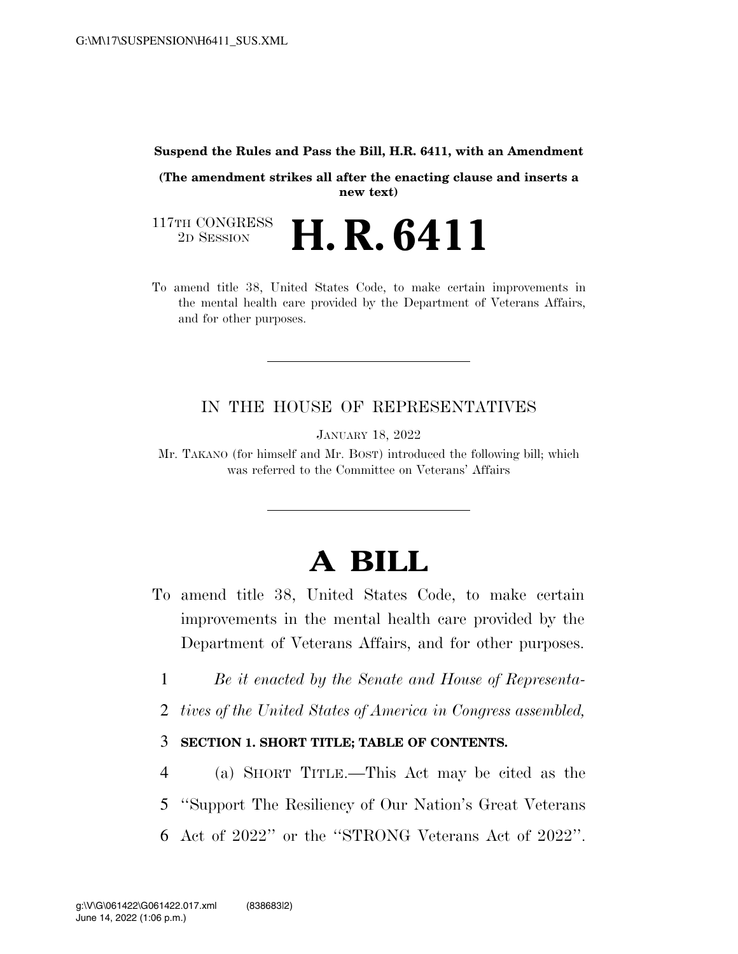### **Suspend the Rules and Pass the Bill, H.R. 6411, with an Amendment**

**(The amendment strikes all after the enacting clause and inserts a new text)** 

117TH CONGRESS<br>2D SESSION 2D SESSION **H. R. 6411** 

To amend title 38, United States Code, to make certain improvements in the mental health care provided by the Department of Veterans Affairs, and for other purposes.

## IN THE HOUSE OF REPRESENTATIVES

JANUARY 18, 2022

Mr. TAKANO (for himself and Mr. BOST) introduced the following bill; which was referred to the Committee on Veterans' Affairs

# **A BILL**

- To amend title 38, United States Code, to make certain improvements in the mental health care provided by the Department of Veterans Affairs, and for other purposes.
	- 1 *Be it enacted by the Senate and House of Representa-*
- 2 *tives of the United States of America in Congress assembled,*

## 3 **SECTION 1. SHORT TITLE; TABLE OF CONTENTS.**

4 (a) SHORT TITLE.—This Act may be cited as the 5 ''Support The Resiliency of Our Nation's Great Veterans 6 Act of 2022'' or the ''STRONG Veterans Act of 2022''.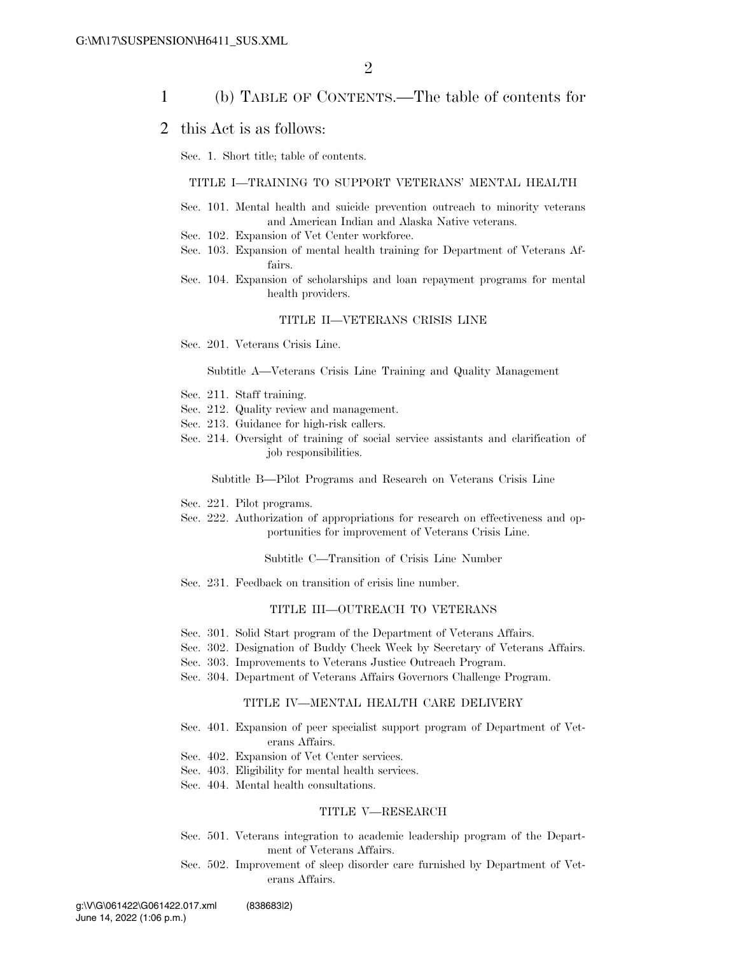### 1 (b) TABLE OF CONTENTS.—The table of contents for

### 2 this Act is as follows:

Sec. 1. Short title; table of contents.

#### TITLE I—TRAINING TO SUPPORT VETERANS' MENTAL HEALTH

- Sec. 101. Mental health and suicide prevention outreach to minority veterans and American Indian and Alaska Native veterans.
- Sec. 102. Expansion of Vet Center workforce.
- Sec. 103. Expansion of mental health training for Department of Veterans Affairs.
- Sec. 104. Expansion of scholarships and loan repayment programs for mental health providers.

#### TITLE II—VETERANS CRISIS LINE

Sec. 201. Veterans Crisis Line.

#### Subtitle A—Veterans Crisis Line Training and Quality Management

- Sec. 211. Staff training.
- Sec. 212. Quality review and management.
- Sec. 213. Guidance for high-risk callers.
- Sec. 214. Oversight of training of social service assistants and clarification of job responsibilities.

Subtitle B—Pilot Programs and Research on Veterans Crisis Line

- Sec. 221. Pilot programs.
- Sec. 222. Authorization of appropriations for research on effectiveness and opportunities for improvement of Veterans Crisis Line.

Subtitle C—Transition of Crisis Line Number

Sec. 231. Feedback on transition of crisis line number.

### TITLE III—OUTREACH TO VETERANS

- Sec. 301. Solid Start program of the Department of Veterans Affairs.
- Sec. 302. Designation of Buddy Check Week by Secretary of Veterans Affairs.
- Sec. 303. Improvements to Veterans Justice Outreach Program.
- Sec. 304. Department of Veterans Affairs Governors Challenge Program.

#### TITLE IV—MENTAL HEALTH CARE DELIVERY

- Sec. 401. Expansion of peer specialist support program of Department of Veterans Affairs.
- Sec. 402. Expansion of Vet Center services.
- Sec. 403. Eligibility for mental health services.
- Sec. 404. Mental health consultations.

#### TITLE V—RESEARCH

- Sec. 501. Veterans integration to academic leadership program of the Department of Veterans Affairs.
- Sec. 502. Improvement of sleep disorder care furnished by Department of Veterans Affairs.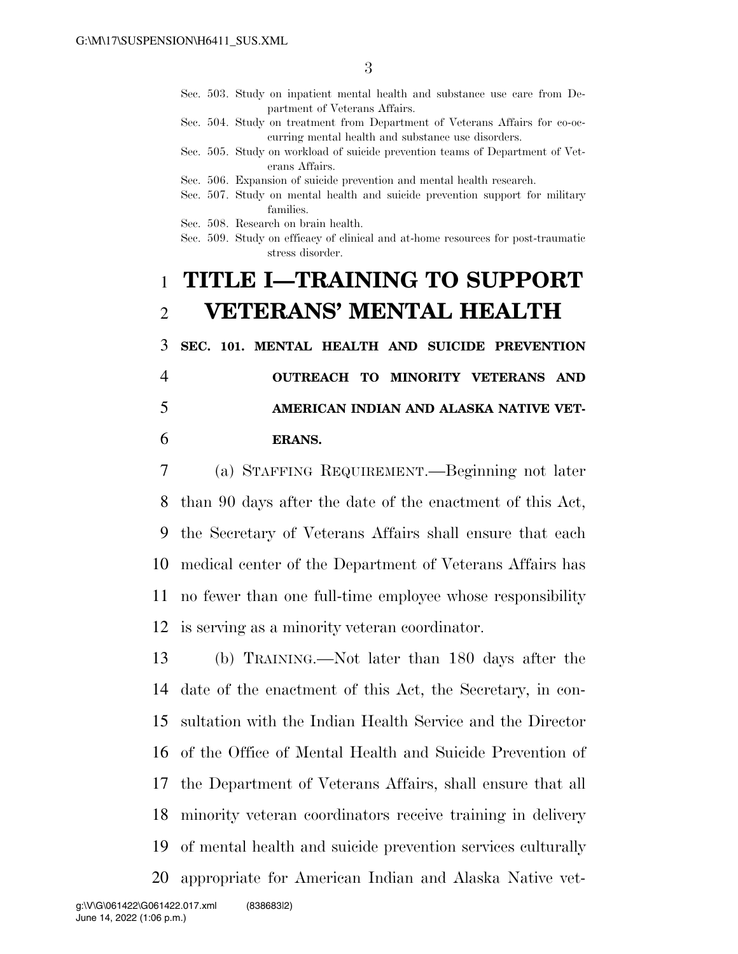- Sec. 503. Study on inpatient mental health and substance use care from Department of Veterans Affairs.
- Sec. 504. Study on treatment from Department of Veterans Affairs for co-occurring mental health and substance use disorders.
- Sec. 505. Study on workload of suicide prevention teams of Department of Veterans Affairs.
- Sec. 506. Expansion of suicide prevention and mental health research.
- Sec. 507. Study on mental health and suicide prevention support for military families.
- Sec. 508. Research on brain health.
- Sec. 509. Study on efficacy of clinical and at-home resources for post-traumatic stress disorder.

# 1 **TITLE I—TRAINING TO SUPPORT**  2 **VETERANS' MENTAL HEALTH**

3 **SEC. 101. MENTAL HEALTH AND SUICIDE PREVENTION** 

# 4 **OUTREACH TO MINORITY VETERANS AND**

### 5 **AMERICAN INDIAN AND ALASKA NATIVE VET-**

### 6 **ERANS.**

 (a) STAFFING REQUIREMENT.—Beginning not later than 90 days after the date of the enactment of this Act, the Secretary of Veterans Affairs shall ensure that each medical center of the Department of Veterans Affairs has no fewer than one full-time employee whose responsibility is serving as a minority veteran coordinator.

 (b) TRAINING.—Not later than 180 days after the date of the enactment of this Act, the Secretary, in con- sultation with the Indian Health Service and the Director of the Office of Mental Health and Suicide Prevention of the Department of Veterans Affairs, shall ensure that all minority veteran coordinators receive training in delivery of mental health and suicide prevention services culturally appropriate for American Indian and Alaska Native vet-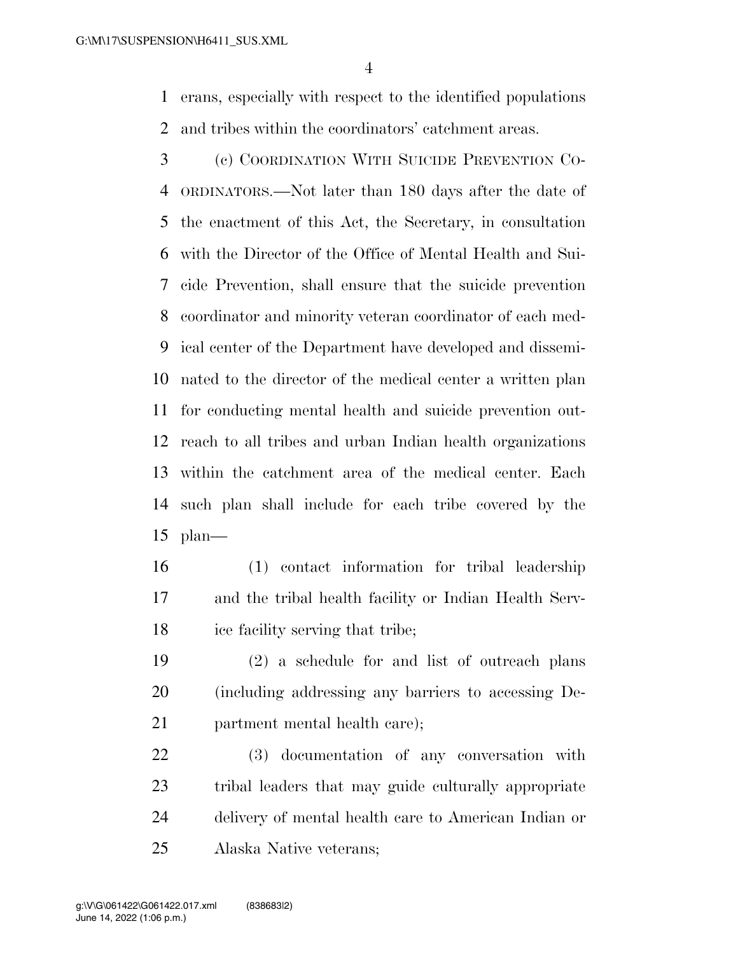erans, especially with respect to the identified populations and tribes within the coordinators' catchment areas.

 (c) COORDINATION WITH SUICIDE PREVENTION CO- ORDINATORS.—Not later than 180 days after the date of the enactment of this Act, the Secretary, in consultation with the Director of the Office of Mental Health and Sui- cide Prevention, shall ensure that the suicide prevention coordinator and minority veteran coordinator of each med- ical center of the Department have developed and dissemi- nated to the director of the medical center a written plan for conducting mental health and suicide prevention out- reach to all tribes and urban Indian health organizations within the catchment area of the medical center. Each such plan shall include for each tribe covered by the plan—

 (1) contact information for tribal leadership and the tribal health facility or Indian Health Serv-ice facility serving that tribe;

 (2) a schedule for and list of outreach plans (including addressing any barriers to accessing De-partment mental health care);

 (3) documentation of any conversation with tribal leaders that may guide culturally appropriate delivery of mental health care to American Indian or Alaska Native veterans;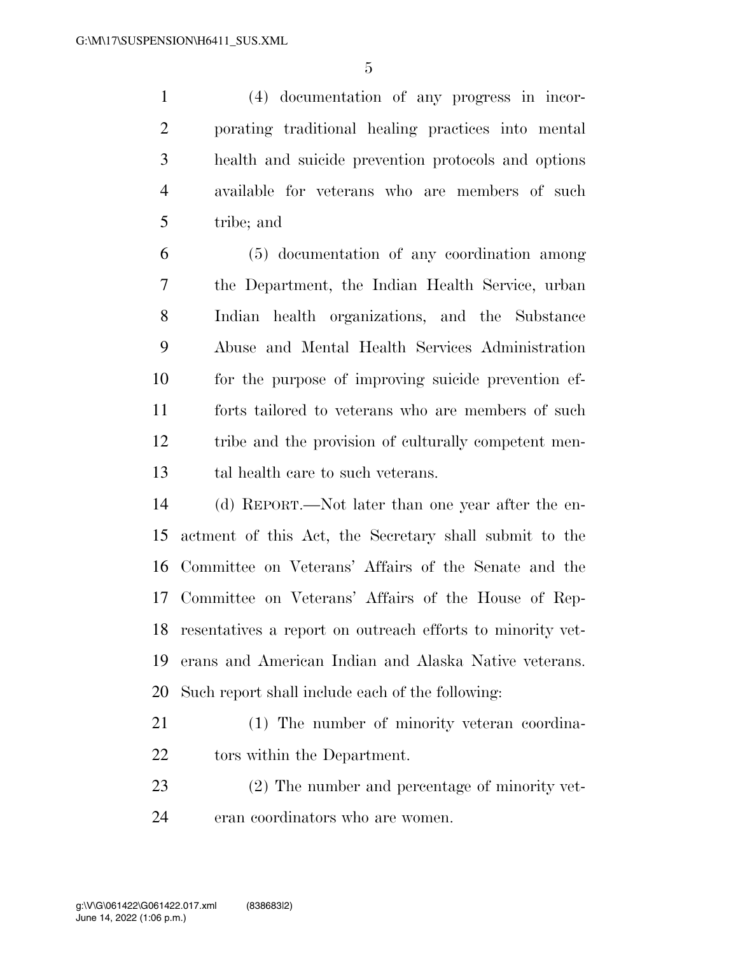(4) documentation of any progress in incor- porating traditional healing practices into mental health and suicide prevention protocols and options available for veterans who are members of such tribe; and

 (5) documentation of any coordination among the Department, the Indian Health Service, urban Indian health organizations, and the Substance Abuse and Mental Health Services Administration for the purpose of improving suicide prevention ef- forts tailored to veterans who are members of such tribe and the provision of culturally competent men-tal health care to such veterans.

 (d) REPORT.—Not later than one year after the en- actment of this Act, the Secretary shall submit to the Committee on Veterans' Affairs of the Senate and the Committee on Veterans' Affairs of the House of Rep- resentatives a report on outreach efforts to minority vet- erans and American Indian and Alaska Native veterans. Such report shall include each of the following:

- (1) The number of minority veteran coordina-tors within the Department.
- (2) The number and percentage of minority vet-eran coordinators who are women.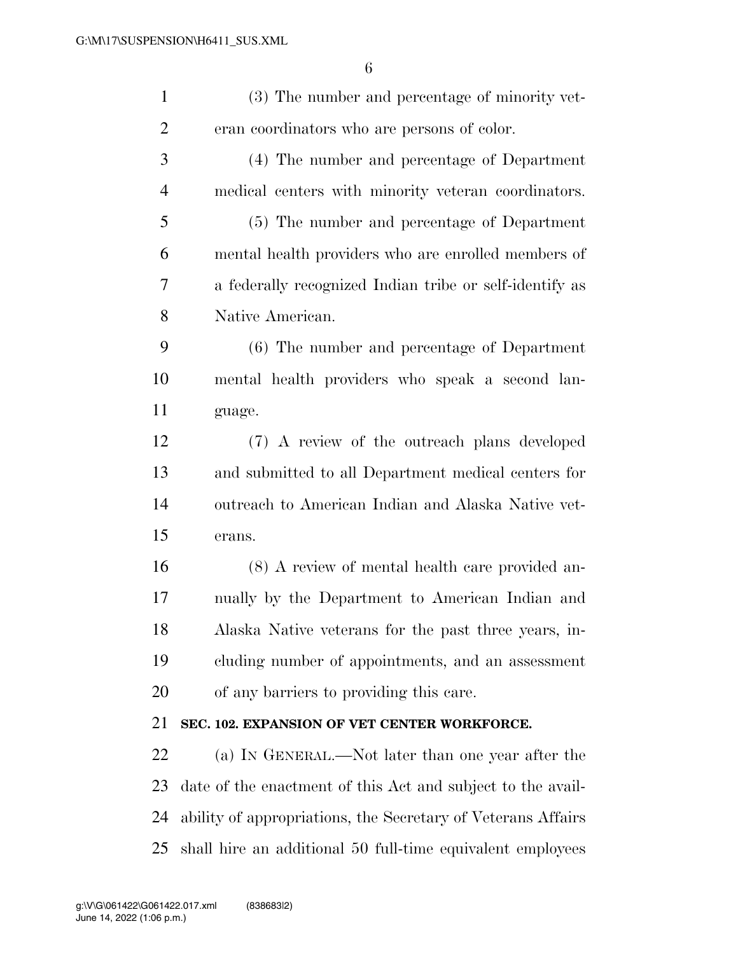| $\mathbf{1}$   | (3) The number and percentage of minority vet-               |
|----------------|--------------------------------------------------------------|
| $\overline{c}$ | eran coordinators who are persons of color.                  |
| 3              | (4) The number and percentage of Department                  |
| $\overline{4}$ | medical centers with minority veteran coordinators.          |
| 5              | (5) The number and percentage of Department                  |
| 6              | mental health providers who are enrolled members of          |
| 7              | a federally recognized Indian tribe or self-identify as      |
| 8              | Native American.                                             |
| 9              | (6) The number and percentage of Department                  |
| 10             | mental health providers who speak a second lan-              |
| 11             | guage.                                                       |
| 12             | (7) A review of the outreach plans developed                 |
| 13             | and submitted to all Department medical centers for          |
| 14             | outreach to American Indian and Alaska Native vet-           |
| 15             | erans.                                                       |
| 16             | (8) A review of mental health care provided an-              |
| 17             | nually by the Department to American Indian and              |
| 18             | Alaska Native veterans for the past three years, in-         |
| 19             | cluding number of appointments, and an assessment            |
| 20             | of any barriers to providing this care.                      |
| 21             | SEC. 102. EXPANSION OF VET CENTER WORKFORCE.                 |
| 22             | (a) IN GENERAL.—Not later than one year after the            |
| 23             | date of the enactment of this Act and subject to the avail-  |
| 24             | ability of appropriations, the Secretary of Veterans Affairs |
| 25             | shall hire an additional 50 full-time equivalent employees   |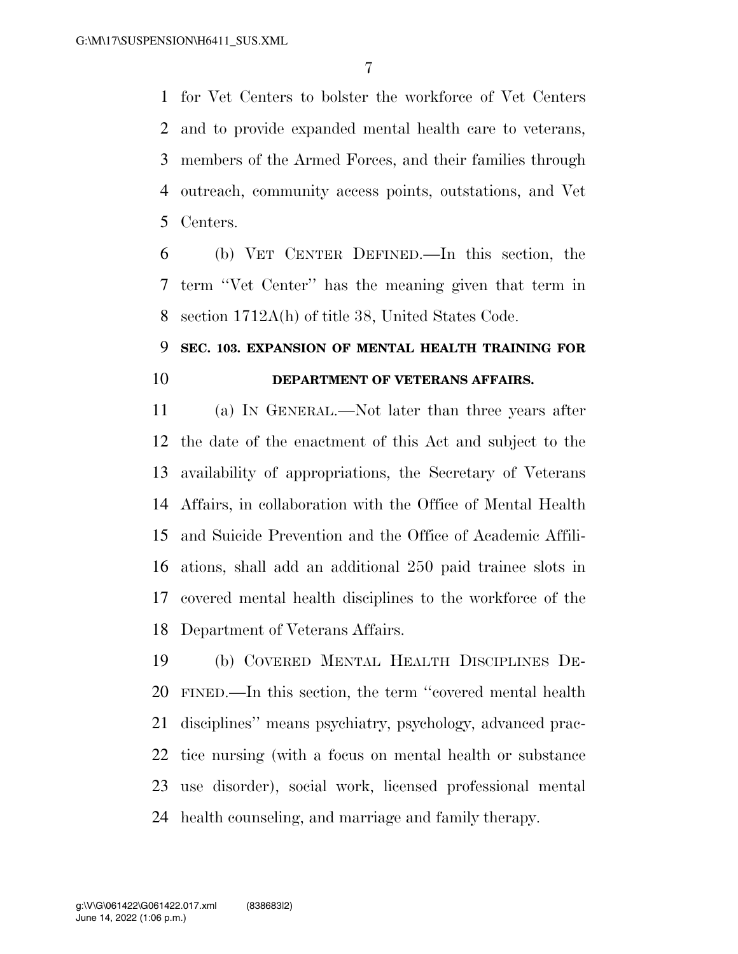for Vet Centers to bolster the workforce of Vet Centers and to provide expanded mental health care to veterans, members of the Armed Forces, and their families through outreach, community access points, outstations, and Vet Centers.

 (b) VET CENTER DEFINED.—In this section, the term ''Vet Center'' has the meaning given that term in section 1712A(h) of title 38, United States Code.

# **SEC. 103. EXPANSION OF MENTAL HEALTH TRAINING FOR DEPARTMENT OF VETERANS AFFAIRS.**

 (a) IN GENERAL.—Not later than three years after the date of the enactment of this Act and subject to the availability of appropriations, the Secretary of Veterans Affairs, in collaboration with the Office of Mental Health and Suicide Prevention and the Office of Academic Affili- ations, shall add an additional 250 paid trainee slots in covered mental health disciplines to the workforce of the Department of Veterans Affairs.

 (b) COVERED MENTAL HEALTH DISCIPLINES DE- FINED.—In this section, the term ''covered mental health disciplines'' means psychiatry, psychology, advanced prac- tice nursing (with a focus on mental health or substance use disorder), social work, licensed professional mental health counseling, and marriage and family therapy.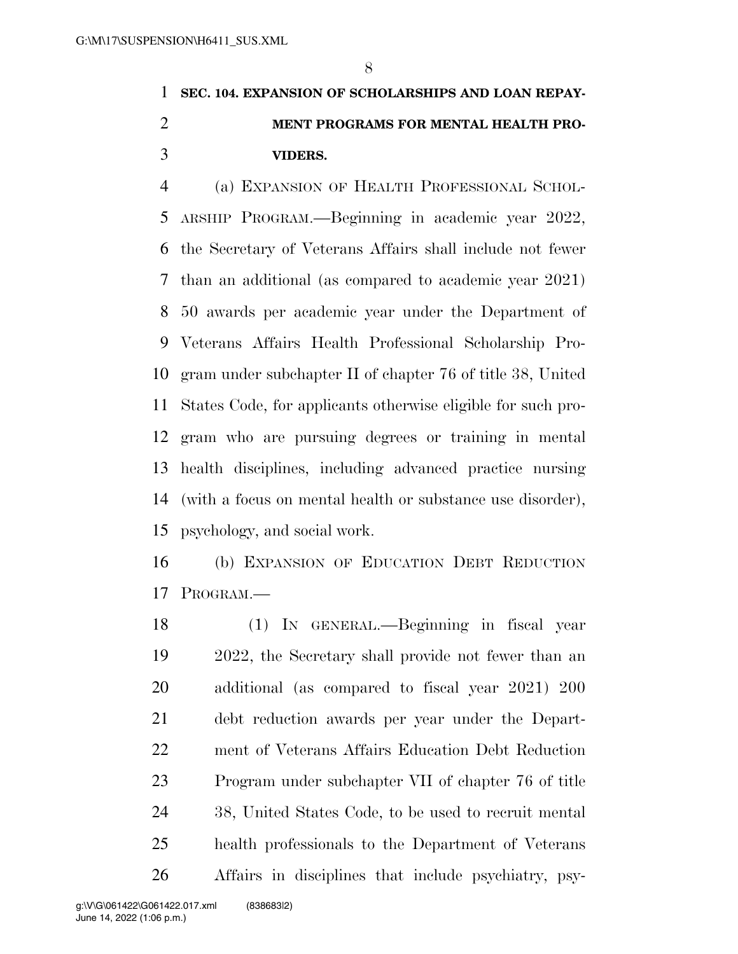# **SEC. 104. EXPANSION OF SCHOLARSHIPS AND LOAN REPAY- MENT PROGRAMS FOR MENTAL HEALTH PRO-VIDERS.**

 (a) EXPANSION OF HEALTH PROFESSIONAL SCHOL- ARSHIP PROGRAM.—Beginning in academic year 2022, the Secretary of Veterans Affairs shall include not fewer than an additional (as compared to academic year 2021) 50 awards per academic year under the Department of Veterans Affairs Health Professional Scholarship Pro- gram under subchapter II of chapter 76 of title 38, United States Code, for applicants otherwise eligible for such pro- gram who are pursuing degrees or training in mental health disciplines, including advanced practice nursing (with a focus on mental health or substance use disorder), psychology, and social work.

 (b) EXPANSION OF EDUCATION DEBT REDUCTION PROGRAM.—

 (1) IN GENERAL.—Beginning in fiscal year 2022, the Secretary shall provide not fewer than an additional (as compared to fiscal year 2021) 200 debt reduction awards per year under the Depart- ment of Veterans Affairs Education Debt Reduction Program under subchapter VII of chapter 76 of title 38, United States Code, to be used to recruit mental health professionals to the Department of Veterans Affairs in disciplines that include psychiatry, psy-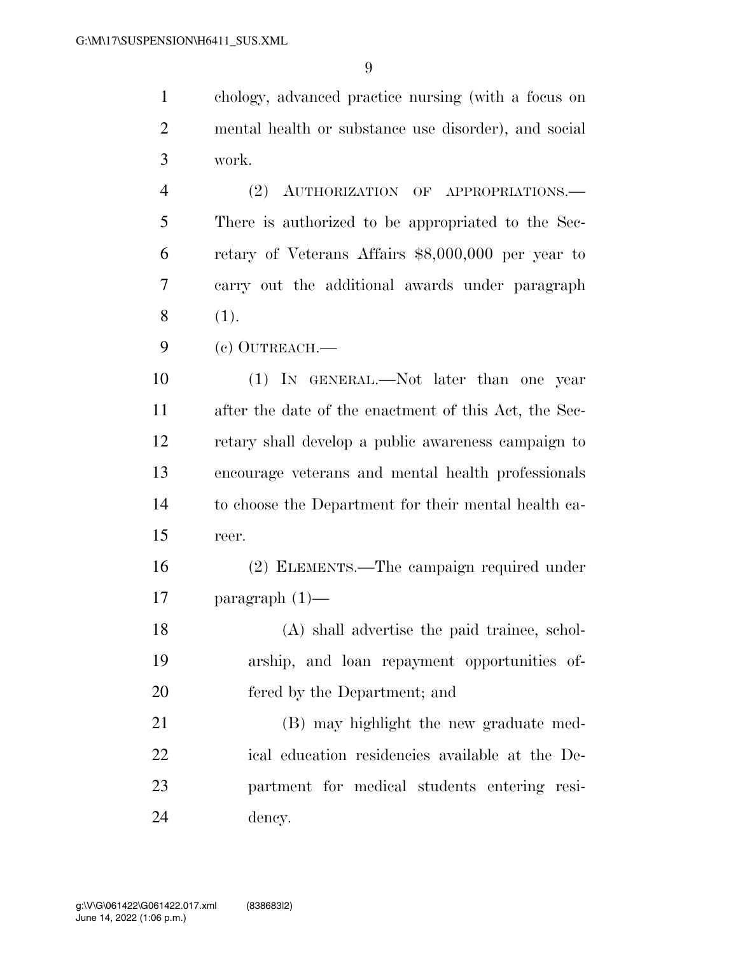chology, advanced practice nursing (with a focus on mental health or substance use disorder), and social work.

 (2) AUTHORIZATION OF APPROPRIATIONS.— There is authorized to be appropriated to the Sec- retary of Veterans Affairs \$8,000,000 per year to carry out the additional awards under paragraph (1).

(c) OUTREACH.—

 (1) IN GENERAL.—Not later than one year after the date of the enactment of this Act, the Sec- retary shall develop a public awareness campaign to encourage veterans and mental health professionals to choose the Department for their mental health ca-reer.

 (2) ELEMENTS.—The campaign required under paragraph (1)—

 (A) shall advertise the paid trainee, schol- arship, and loan repayment opportunities of-fered by the Department; and

 (B) may highlight the new graduate med- ical education residencies available at the De- partment for medical students entering resi-dency.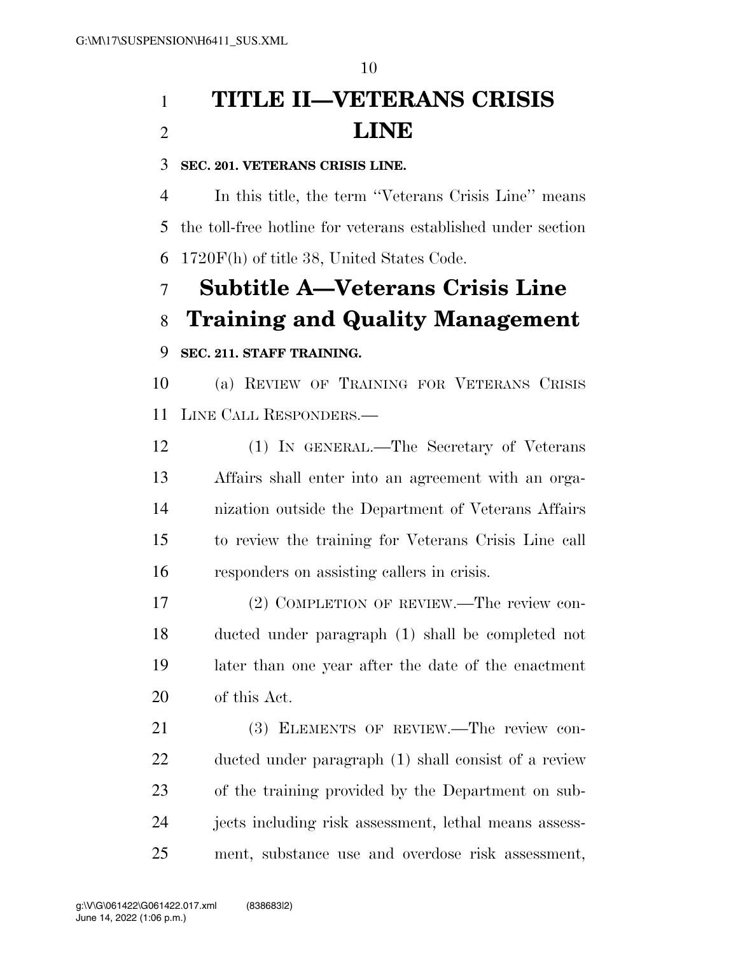# **TITLE II—VETERANS CRISIS LINE**

## **SEC. 201. VETERANS CRISIS LINE.**

 In this title, the term ''Veterans Crisis Line'' means the toll-free hotline for veterans established under section 1720F(h) of title 38, United States Code.

# **Subtitle A—Veterans Crisis Line Training and Quality Management**

## **SEC. 211. STAFF TRAINING.**

 (a) REVIEW OF TRAINING FOR VETERANS CRISIS LINE CALL RESPONDERS.—

 (1) IN GENERAL.—The Secretary of Veterans Affairs shall enter into an agreement with an orga- nization outside the Department of Veterans Affairs to review the training for Veterans Crisis Line call responders on assisting callers in crisis.

 (2) COMPLETION OF REVIEW.—The review con- ducted under paragraph (1) shall be completed not later than one year after the date of the enactment of this Act.

21 (3) ELEMENTS OF REVIEW.—The review con- ducted under paragraph (1) shall consist of a review of the training provided by the Department on sub- jects including risk assessment, lethal means assess-ment, substance use and overdose risk assessment,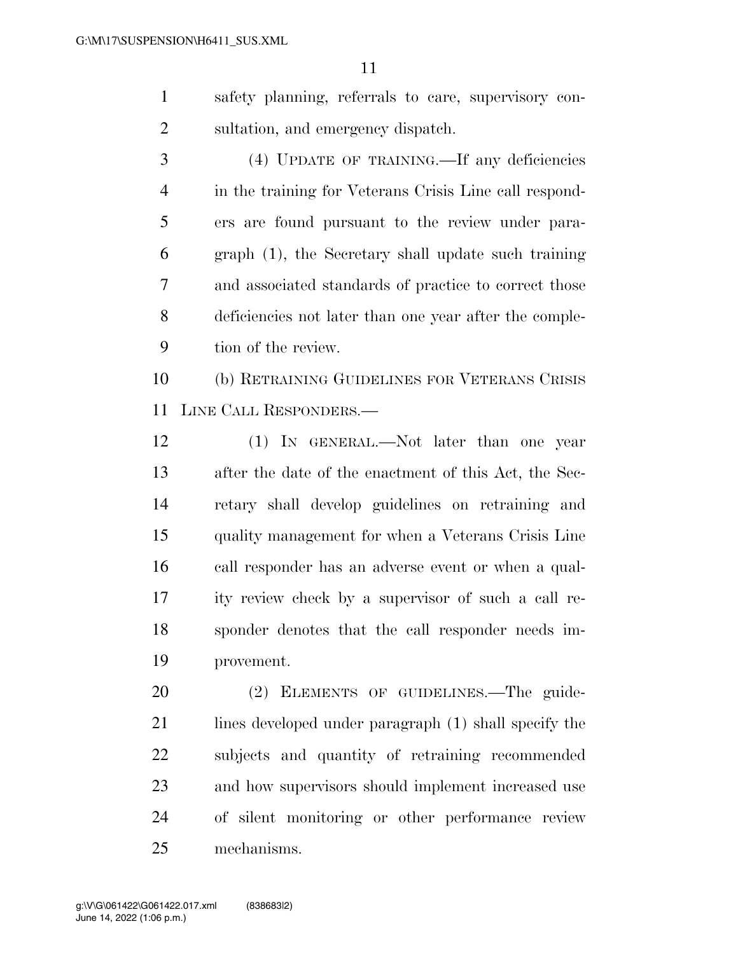safety planning, referrals to care, supervisory con-sultation, and emergency dispatch.

 (4) UPDATE OF TRAINING.—If any deficiencies in the training for Veterans Crisis Line call respond- ers are found pursuant to the review under para- graph (1), the Secretary shall update such training and associated standards of practice to correct those deficiencies not later than one year after the comple-tion of the review.

 (b) RETRAINING GUIDELINES FOR VETERANS CRISIS LINE CALL RESPONDERS.—

 (1) IN GENERAL.—Not later than one year after the date of the enactment of this Act, the Sec- retary shall develop guidelines on retraining and quality management for when a Veterans Crisis Line call responder has an adverse event or when a qual- ity review check by a supervisor of such a call re- sponder denotes that the call responder needs im-provement.

 (2) ELEMENTS OF GUIDELINES.—The guide-21 lines developed under paragraph (1) shall specify the subjects and quantity of retraining recommended and how supervisors should implement increased use of silent monitoring or other performance review mechanisms.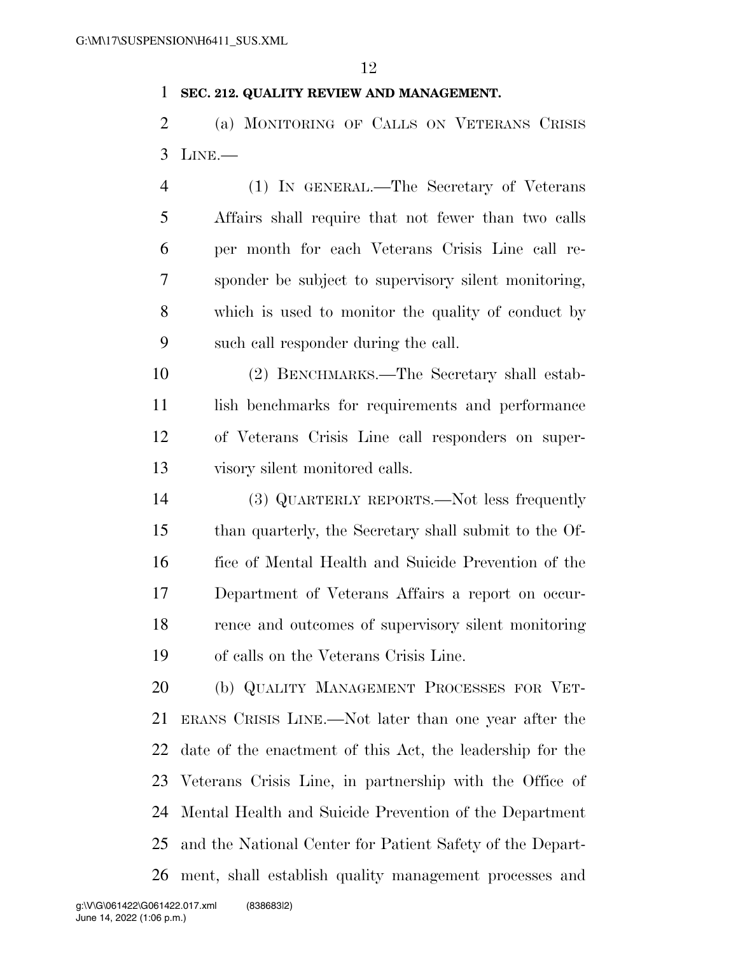### **SEC. 212. QUALITY REVIEW AND MANAGEMENT.**

 (a) MONITORING OF CALLS ON VETERANS CRISIS LINE.—

 (1) IN GENERAL.—The Secretary of Veterans Affairs shall require that not fewer than two calls per month for each Veterans Crisis Line call re- sponder be subject to supervisory silent monitoring, which is used to monitor the quality of conduct by such call responder during the call.

 (2) BENCHMARKS.—The Secretary shall estab-11 lish benchmarks for requirements and performance of Veterans Crisis Line call responders on super-visory silent monitored calls.

 (3) QUARTERLY REPORTS.—Not less frequently than quarterly, the Secretary shall submit to the Of- fice of Mental Health and Suicide Prevention of the Department of Veterans Affairs a report on occur- rence and outcomes of supervisory silent monitoring of calls on the Veterans Crisis Line.

 (b) QUALITY MANAGEMENT PROCESSES FOR VET- ERANS CRISIS LINE.—Not later than one year after the date of the enactment of this Act, the leadership for the Veterans Crisis Line, in partnership with the Office of Mental Health and Suicide Prevention of the Department and the National Center for Patient Safety of the Depart-ment, shall establish quality management processes and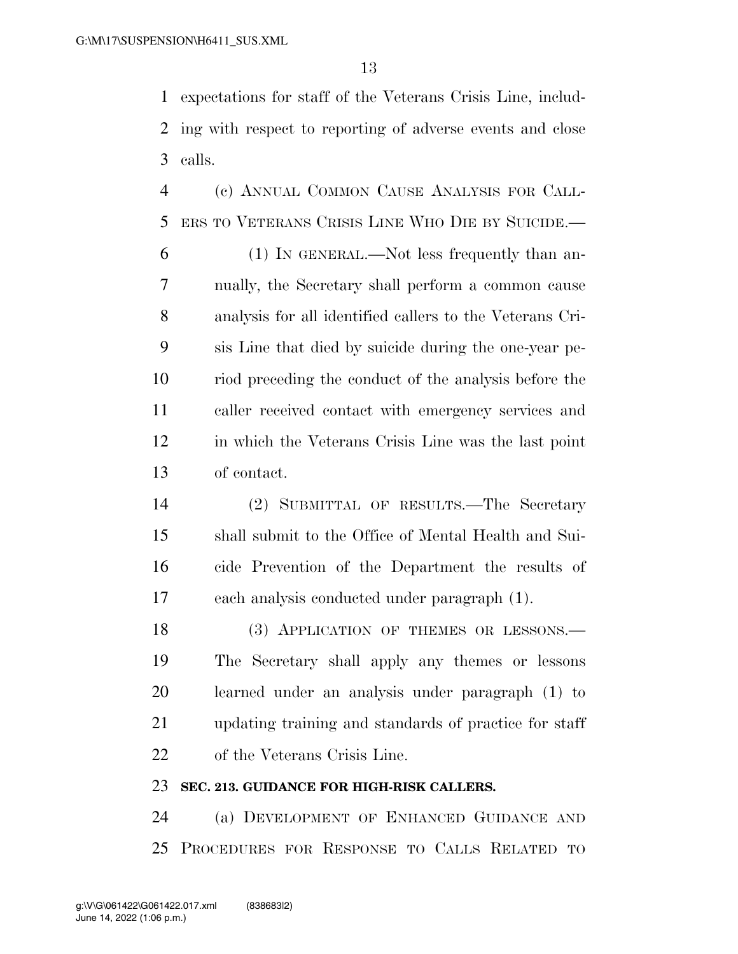expectations for staff of the Veterans Crisis Line, includ- ing with respect to reporting of adverse events and close calls.

 (c) ANNUAL COMMON CAUSE ANALYSIS FOR CALL-ERS TO VETERANS CRISIS LINE WHO DIE BY SUICIDE.—

 (1) IN GENERAL.—Not less frequently than an- nually, the Secretary shall perform a common cause analysis for all identified callers to the Veterans Cri- sis Line that died by suicide during the one-year pe- riod preceding the conduct of the analysis before the caller received contact with emergency services and in which the Veterans Crisis Line was the last point of contact.

 (2) SUBMITTAL OF RESULTS.—The Secretary shall submit to the Office of Mental Health and Sui- cide Prevention of the Department the results of each analysis conducted under paragraph (1).

18 (3) APPLICATION OF THEMES OR LESSONS.— The Secretary shall apply any themes or lessons learned under an analysis under paragraph (1) to updating training and standards of practice for staff of the Veterans Crisis Line.

## **SEC. 213. GUIDANCE FOR HIGH-RISK CALLERS.**

 (a) DEVELOPMENT OF ENHANCED GUIDANCE AND PROCEDURES FOR RESPONSE TO CALLS RELATED TO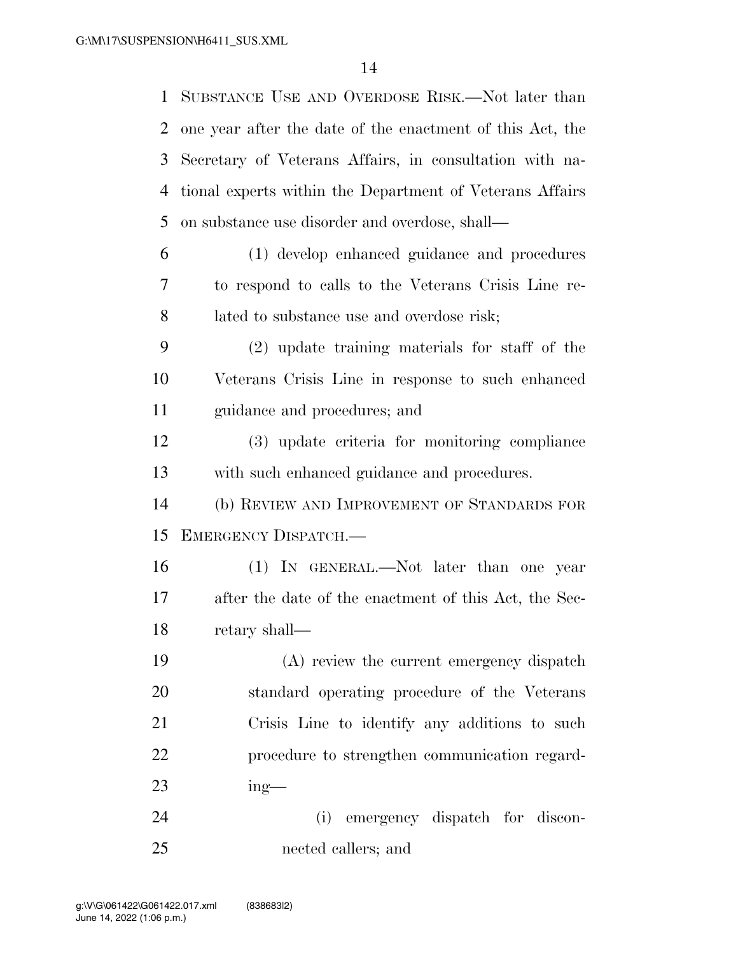SUBSTANCE USE AND OVERDOSE RISK.—Not later than one year after the date of the enactment of this Act, the Secretary of Veterans Affairs, in consultation with na- tional experts within the Department of Veterans Affairs on substance use disorder and overdose, shall— (1) develop enhanced guidance and procedures to respond to calls to the Veterans Crisis Line re- lated to substance use and overdose risk; (2) update training materials for staff of the Veterans Crisis Line in response to such enhanced guidance and procedures; and (3) update criteria for monitoring compliance with such enhanced guidance and procedures. (b) REVIEW AND IMPROVEMENT OF STANDARDS FOR EMERGENCY DISPATCH.— (1) IN GENERAL.—Not later than one year after the date of the enactment of this Act, the Sec- retary shall— (A) review the current emergency dispatch standard operating procedure of the Veterans Crisis Line to identify any additions to such procedure to strengthen communication regard- ing— (i) emergency dispatch for discon-nected callers; and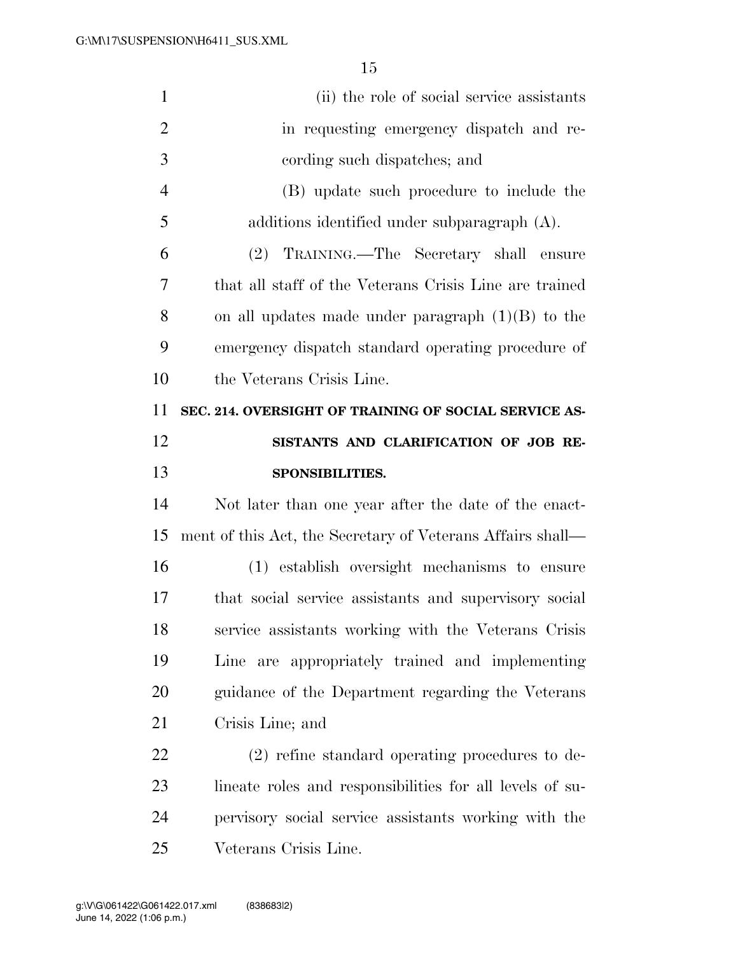| $\mathbf{1}$   | (ii) the role of social service assistants                 |
|----------------|------------------------------------------------------------|
| $\overline{2}$ | in requesting emergency dispatch and re-                   |
| 3              | cording such dispatches; and                               |
| $\overline{4}$ | (B) update such procedure to include the                   |
| 5              | additions identified under subparagraph $(A)$ .            |
| 6              | (2) TRAINING.—The Secretary shall ensure                   |
| 7              | that all staff of the Veterans Crisis Line are trained     |
| 8              | on all updates made under paragraph $(1)(B)$ to the        |
| 9              | emergency dispatch standard operating procedure of         |
| 10             | the Veterans Crisis Line.                                  |
| 11             | SEC. 214. OVERSIGHT OF TRAINING OF SOCIAL SERVICE AS-      |
| 12             | SISTANTS AND CLARIFICATION OF JOB RE-                      |
| 13             | SPONSIBILITIES.                                            |
|                |                                                            |
| 14             | Not later than one year after the date of the enact-       |
| 15             | ment of this Act, the Secretary of Veterans Affairs shall— |
| 16             | (1) establish oversight mechanisms to ensure               |
| 17             | that social service assistants and supervisory social      |
| 18             | service assistants working with the Veterans Crisis        |
| 19             | Line are appropriately trained and implementing            |
| 20             | guidance of the Department regarding the Veterans          |
| 21             | Crisis Line; and                                           |
| 22             | $(2)$ refine standard operating procedures to de-          |
| 23             | lineate roles and responsibilities for all levels of su-   |
| 24             | pervisory social service assistants working with the       |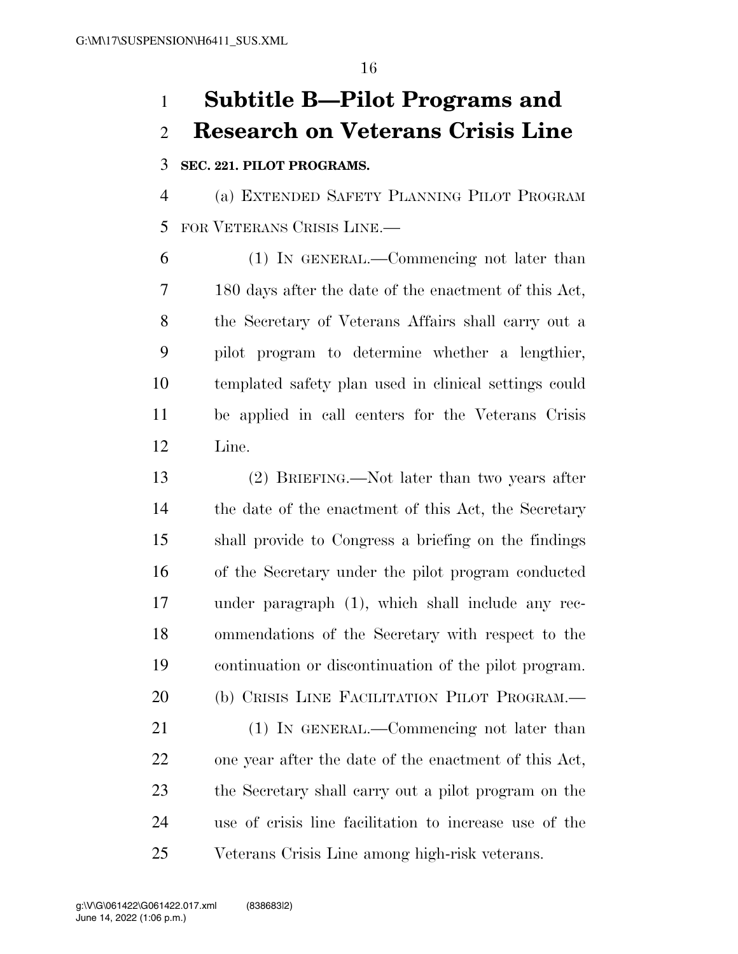# **Subtitle B—Pilot Programs and Research on Veterans Crisis Line**

## **SEC. 221. PILOT PROGRAMS.**

 (a) EXTENDED SAFETY PLANNING PILOT PROGRAM FOR VETERANS CRISIS LINE.—

 (1) IN GENERAL.—Commencing not later than 180 days after the date of the enactment of this Act, the Secretary of Veterans Affairs shall carry out a pilot program to determine whether a lengthier, templated safety plan used in clinical settings could be applied in call centers for the Veterans Crisis Line.

 (2) BRIEFING.—Not later than two years after 14 the date of the enactment of this Act, the Secretary shall provide to Congress a briefing on the findings of the Secretary under the pilot program conducted under paragraph (1), which shall include any rec- ommendations of the Secretary with respect to the continuation or discontinuation of the pilot program. (b) CRISIS LINE FACILITATION PILOT PROGRAM.— 21 (1) IN GENERAL.—Commencing not later than

 one year after the date of the enactment of this Act, the Secretary shall carry out a pilot program on the use of crisis line facilitation to increase use of the Veterans Crisis Line among high-risk veterans.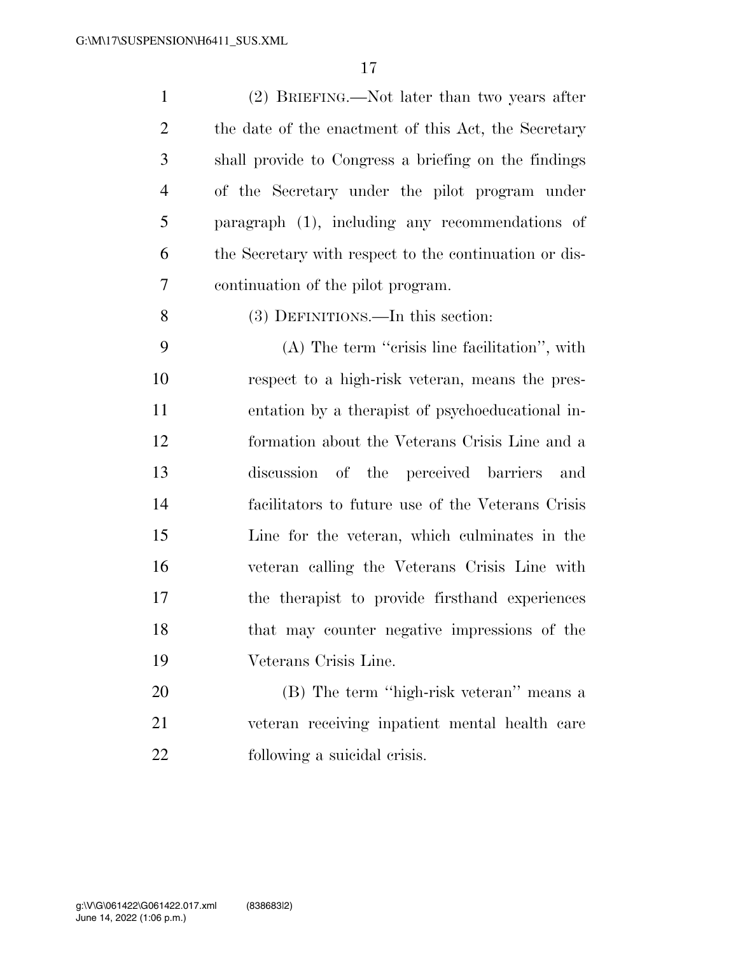| $\mathbf{1}$   | (2) BRIEFING.—Not later than two years after           |
|----------------|--------------------------------------------------------|
| $\overline{2}$ | the date of the enactment of this Act, the Secretary   |
| 3              | shall provide to Congress a briefing on the findings   |
| $\overline{4}$ | of the Secretary under the pilot program under         |
| 5              | paragraph (1), including any recommendations of        |
| 6              | the Secretary with respect to the continuation or dis- |
| 7              | continuation of the pilot program.                     |
| 8              | (3) DEFINITIONS.—In this section:                      |
| 9              | $(A)$ The term "crisis line facilitation", with        |
| 10             | respect to a high-risk veteran, means the pres-        |
| 11             | entation by a therapist of psychoeducational in-       |
| 12             | formation about the Veterans Crisis Line and a         |
| 13             | discussion<br>of the perceived barriers<br>and         |
| 14             | facilitators to future use of the Veterans Crisis      |
| 15             | Line for the veteran, which culminates in the          |
| 16             | veteran calling the Veterans Crisis Line with          |
| 17             | the therapist to provide firsthand experiences         |
| 18             | that may counter negative impressions of the           |
| 19             | Veterans Crisis Line.                                  |
| 20             | (B) The term "high-risk veteran" means a               |
| 21             | veteran receiving inpatient mental health care         |
| 22             | following a suicidal crisis.                           |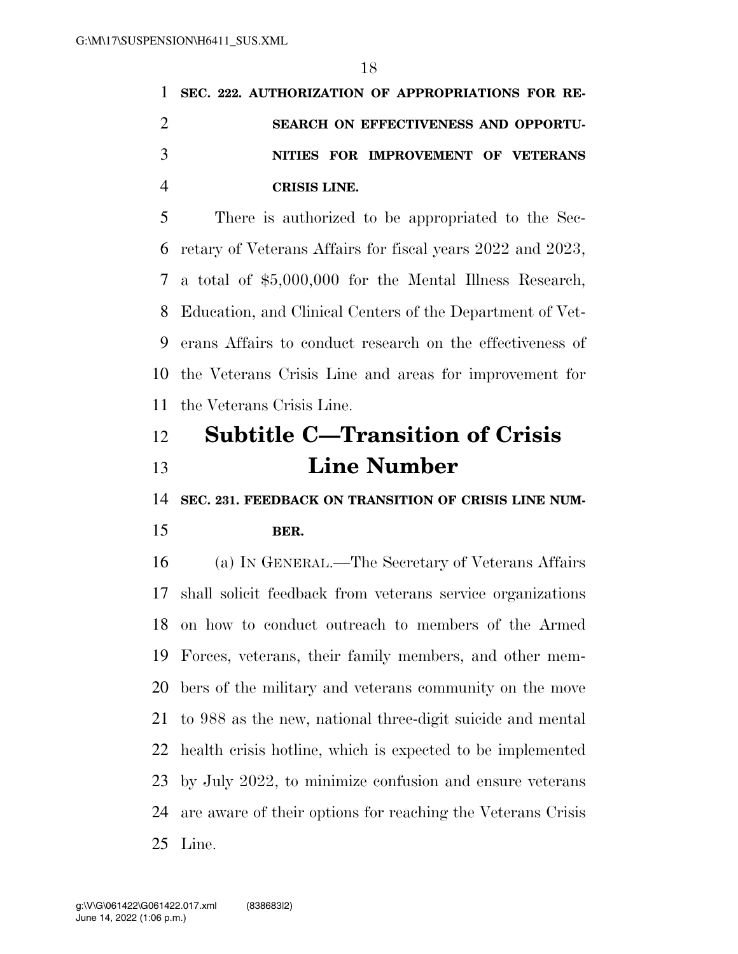**SEC. 222. AUTHORIZATION OF APPROPRIATIONS FOR RE- SEARCH ON EFFECTIVENESS AND OPPORTU- NITIES FOR IMPROVEMENT OF VETERANS CRISIS LINE.** 

 There is authorized to be appropriated to the Sec- retary of Veterans Affairs for fiscal years 2022 and 2023, a total of \$5,000,000 for the Mental Illness Research, Education, and Clinical Centers of the Department of Vet- erans Affairs to conduct research on the effectiveness of the Veterans Crisis Line and areas for improvement for the Veterans Crisis Line.

# **Subtitle C—Transition of Crisis Line Number**

**SEC. 231. FEEDBACK ON TRANSITION OF CRISIS LINE NUM-**

### **BER.**

 (a) IN GENERAL.—The Secretary of Veterans Affairs shall solicit feedback from veterans service organizations on how to conduct outreach to members of the Armed Forces, veterans, their family members, and other mem- bers of the military and veterans community on the move to 988 as the new, national three-digit suicide and mental health crisis hotline, which is expected to be implemented by July 2022, to minimize confusion and ensure veterans are aware of their options for reaching the Veterans Crisis Line.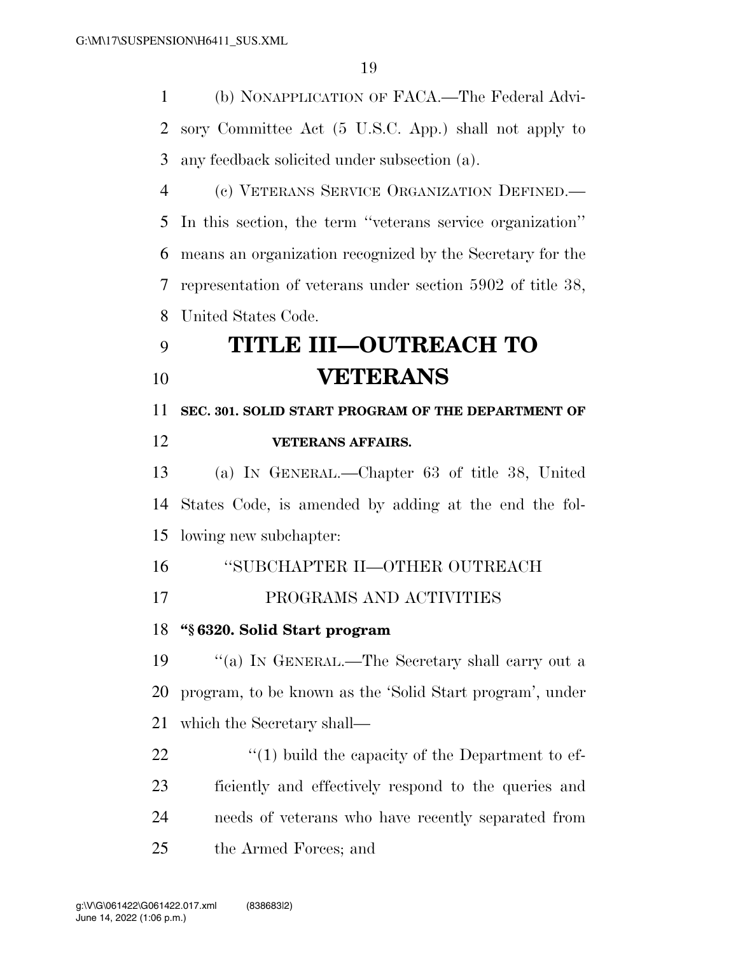(b) NONAPPLICATION OF FACA.—The Federal Advi- sory Committee Act (5 U.S.C. App.) shall not apply to any feedback solicited under subsection (a).

 (c) VETERANS SERVICE ORGANIZATION DEFINED.— In this section, the term ''veterans service organization'' means an organization recognized by the Secretary for the representation of veterans under section 5902 of title 38, United States Code.

# **TITLE III—OUTREACH TO VETERANS**

 **SEC. 301. SOLID START PROGRAM OF THE DEPARTMENT OF VETERANS AFFAIRS.** 

 (a) IN GENERAL.—Chapter 63 of title 38, United States Code, is amended by adding at the end the fol-lowing new subchapter:

''SUBCHAPTER II—OTHER OUTREACH

PROGRAMS AND ACTIVITIES

## **''§ 6320. Solid Start program**

 ''(a) IN GENERAL.—The Secretary shall carry out a program, to be known as the 'Solid Start program', under which the Secretary shall—

 $\frac{1}{2}$  (1) build the capacity of the Department to ef- ficiently and effectively respond to the queries and needs of veterans who have recently separated from the Armed Forces; and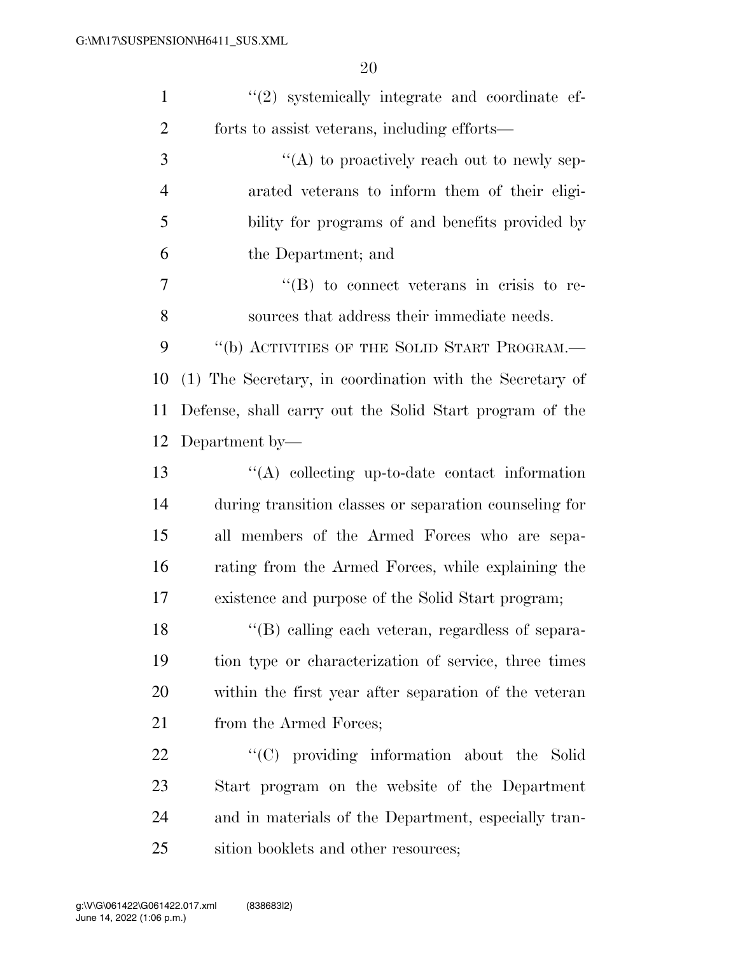| $\mathbf{1}$   | $(2)$ systemically integrate and coordinate ef-          |
|----------------|----------------------------------------------------------|
| $\overline{2}$ | forts to assist veterans, including efforts—             |
| 3              | "(A) to proactively reach out to newly sep-              |
| $\overline{4}$ | arated veterans to inform them of their eligi-           |
| 5              | bility for programs of and benefits provided by          |
| 6              | the Department; and                                      |
| 7              | $\lq\lq (B)$ to connect veterans in crisis to re-        |
| 8              | sources that address their immediate needs.              |
| 9              | "(b) ACTIVITIES OF THE SOLID START PROGRAM.-             |
| 10             | (1) The Secretary, in coordination with the Secretary of |
| 11             | Defense, shall carry out the Solid Start program of the  |
| 12             | Department by-                                           |
| 13             | "(A) collecting up-to-date contact information           |
| 14             | during transition classes or separation counseling for   |
| 15             | all members of the Armed Forces who are sepa-            |
| 16             | rating from the Armed Forces, while explaining the       |
| 17             | existence and purpose of the Solid Start program;        |
| 18             | "(B) calling each veteran, regardless of separa-         |
| 19             | tion type or characterization of service, three times    |
| 20             | within the first year after separation of the veteran    |
| 21             | from the Armed Forces;                                   |
| 22             | "(C) providing information about the Solid               |
| 23             | Start program on the website of the Department           |
| 24             | and in materials of the Department, especially tran-     |
| 25             | sition booklets and other resources;                     |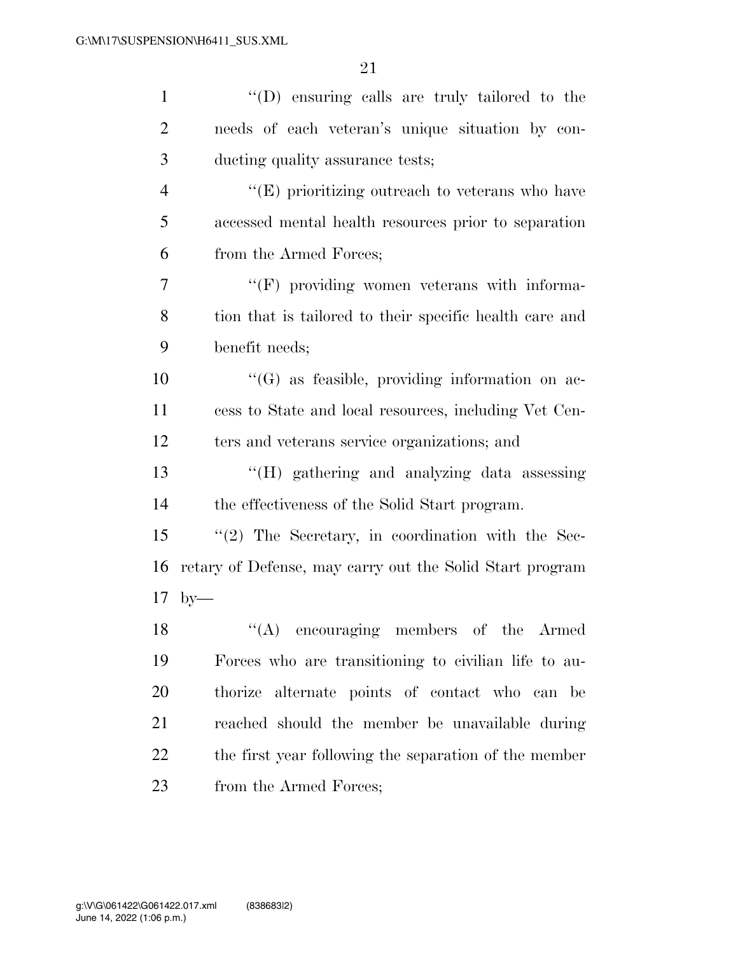| $\mathbf{1}$   | "(D) ensuring calls are truly tailored to the            |
|----------------|----------------------------------------------------------|
| $\overline{2}$ | needs of each veteran's unique situation by con-         |
| 3              | ducting quality assurance tests;                         |
| $\overline{4}$ | $\lq\lq$ (E) prioritizing outreach to veterans who have  |
| 5              | accessed mental health resources prior to separation     |
| 6              | from the Armed Forces;                                   |
| 7              | "(F) providing women veterans with informa-              |
| 8              | tion that is tailored to their specific health care and  |
| 9              | benefit needs;                                           |
| 10             | $\lq\lq(G)$ as feasible, providing information on ac-    |
| 11             | cess to State and local resources, including Vet Cen-    |
| 12             | ters and veterans service organizations; and             |
| 13             | "(H) gathering and analyzing data assessing              |
| 14             | the effectiveness of the Solid Start program.            |
| 15             | $\lq(2)$ The Secretary, in coordination with the Sec-    |
| 16             | retary of Defense, may carry out the Solid Start program |
| 17             | $by-$                                                    |
| 18             | "(A) encouraging members of the Armed                    |
| 19             | Forces who are transitioning to civilian life to au-     |
| 20             | thorize alternate points of contact who can be           |
| 21             | reached should the member be unavailable during          |
| 22             | the first year following the separation of the member    |
| 23             | from the Armed Forces;                                   |
|                |                                                          |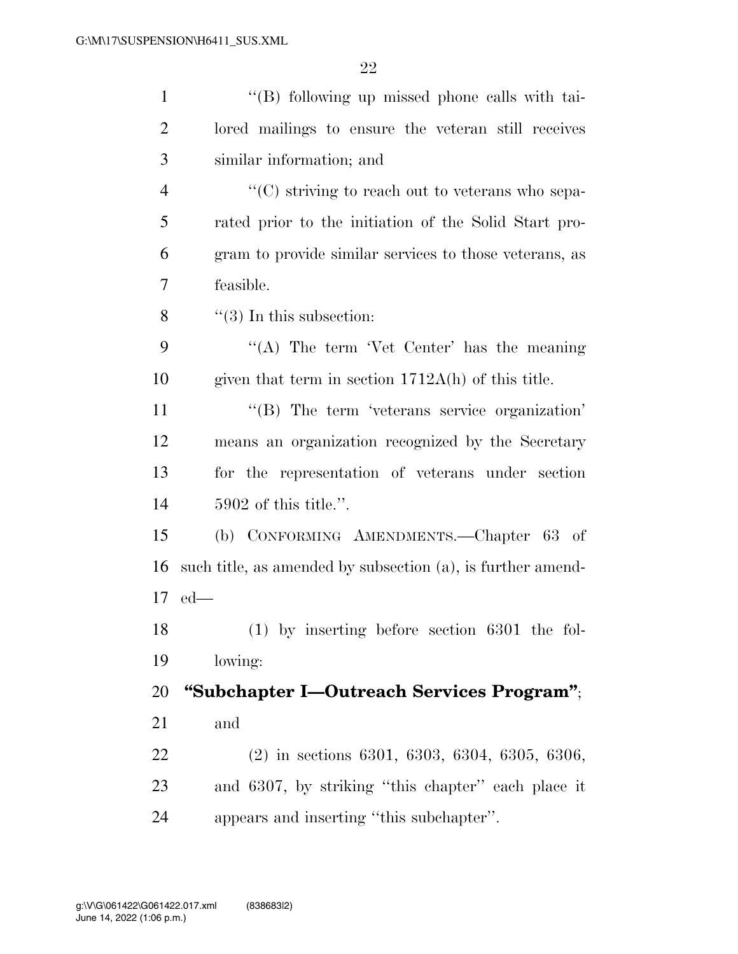| $\mathbf{1}$   | "(B) following up missed phone calls with tai-              |
|----------------|-------------------------------------------------------------|
| $\overline{2}$ | lored mailings to ensure the veteran still receives         |
| 3              | similar information; and                                    |
| $\overline{4}$ | "(C) striving to reach out to veterans who sepa-            |
| 5              | rated prior to the initiation of the Solid Start pro-       |
| 6              | gram to provide similar services to those veterans, as      |
| 7              | feasible.                                                   |
| 8              | $\lq(3)$ In this subsection:                                |
| 9              | "(A) The term 'Vet Center' has the meaning                  |
| 10             | given that term in section $1712A(h)$ of this title.        |
| 11             | "(B) The term 'veterans service organization'               |
| 12             | means an organization recognized by the Secretary           |
| 13             | for the representation of veterans under section            |
| 14             | $5902$ of this title.".                                     |
| 15             | (b) CONFORMING AMENDMENTS.—Chapter 63 of                    |
| 16             | such title, as amended by subsection (a), is further amend- |
|                | $17$ ed—                                                    |
| 18             | $(1)$ by inserting before section 6301 the fol-             |
| 19             | lowing:                                                     |
| 20             | "Subchapter I—Outreach Services Program";                   |
| 21             | and                                                         |
| 22             | $(2)$ in sections 6301, 6303, 6304, 6305, 6306,             |
| 23             | and 6307, by striking "this chapter" each place it          |
| 24             | appears and inserting "this subchapter".                    |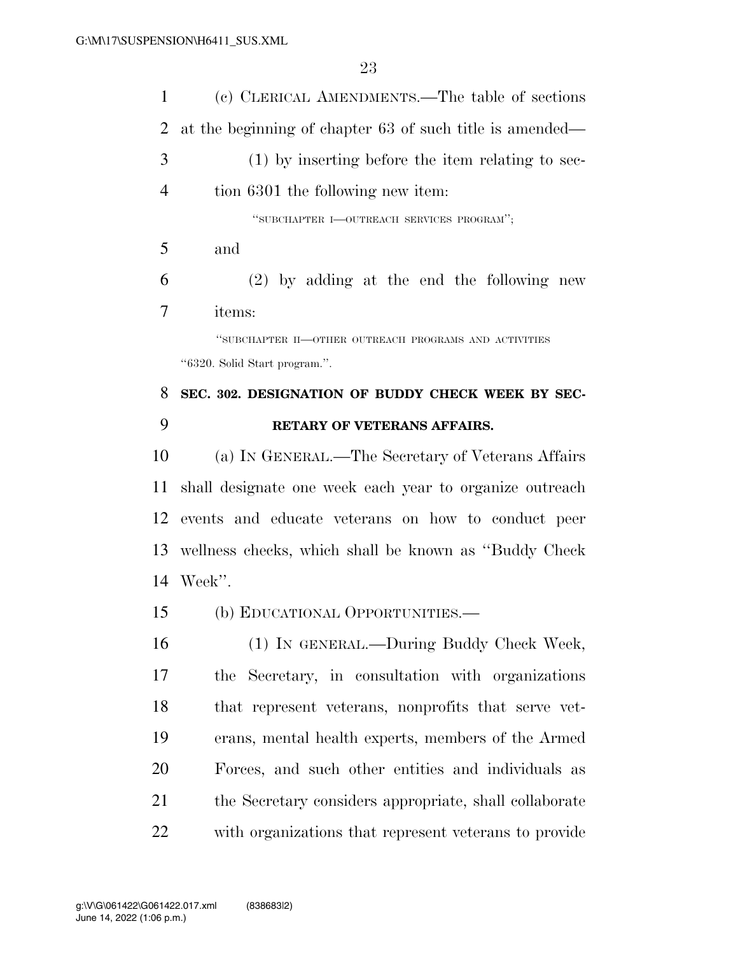| 1              | (c) CLERICAL AMENDMENTS.—The table of sections           |
|----------------|----------------------------------------------------------|
| 2              | at the beginning of chapter 63 of such title is amended— |
| 3              | $(1)$ by inserting before the item relating to sec-      |
| $\overline{4}$ | tion 6301 the following new item:                        |
|                | "SUBCHAPTER I-OUTREACH SERVICES PROGRAM";                |
| 5              | and                                                      |
| 6              | $(2)$ by adding at the end the following new             |
| 7              | items:                                                   |
|                | "SUBCHAPTER II—OTHER OUTREACH PROGRAMS AND ACTIVITIES    |
|                | "6320. Solid Start program.".                            |
| 8              | SEC. 302. DESIGNATION OF BUDDY CHECK WEEK BY SEC-        |
| 9              | RETARY OF VETERANS AFFAIRS.                              |
|                |                                                          |
| 10             | (a) IN GENERAL.—The Secretary of Veterans Affairs        |
| 11             | shall designate one week each year to organize outreach  |
| 12             | events and educate veterans on how to conduct peer       |
| 13             | wellness checks, which shall be known as "Buddy Check"   |
|                | 14 Week".                                                |
| 15             | (b) EDUCATIONAL OPPORTUNITIES.—                          |
| 16             | (1) IN GENERAL.—During Buddy Check Week,                 |
| 17             | the Secretary, in consultation with organizations        |
| 18             | that represent veterans, nonprofits that serve vet-      |
| 19             | erans, mental health experts, members of the Armed       |
| 20             | Forces, and such other entities and individuals as       |

with organizations that represent veterans to provide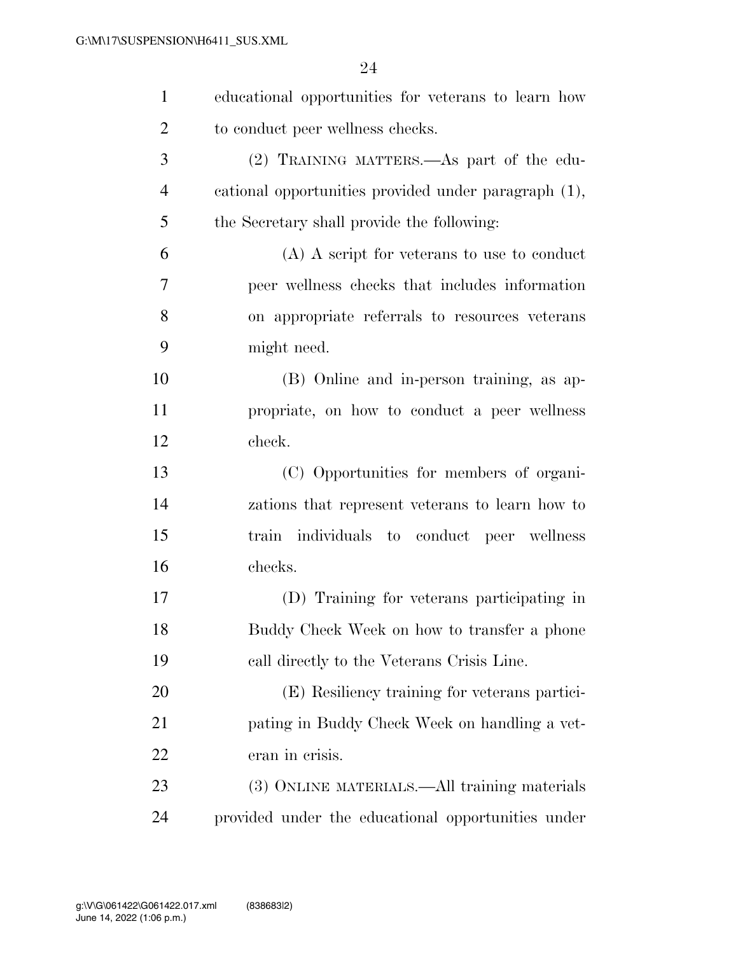| $\mathbf{1}$   | educational opportunities for veterans to learn how  |
|----------------|------------------------------------------------------|
| $\overline{2}$ | to conduct peer wellness checks.                     |
| 3              | (2) TRAINING MATTERS.—As part of the edu-            |
| $\overline{4}$ | cational opportunities provided under paragraph (1), |
| 5              | the Secretary shall provide the following:           |
| 6              | $(A)$ A script for veterans to use to conduct        |
| 7              | peer wellness checks that includes information       |
| 8              | on appropriate referrals to resources veterans       |
| 9              | might need.                                          |
| 10             | (B) Online and in-person training, as ap-            |
| 11             | propriate, on how to conduct a peer wellness         |
| 12             | check.                                               |
| 13             | (C) Opportunities for members of organi-             |
| 14             | zations that represent veterans to learn how to      |
| 15             | train individuals to conduct peer wellness           |
| 16             | checks.                                              |
| 17             | (D) Training for veterans participating in           |
| 18             | Buddy Check Week on how to transfer a phone          |
| 19             | call directly to the Veterans Crisis Line.           |
| 20             | (E) Resiliency training for veterans partici-        |
| 21             | pating in Buddy Check Week on handling a vet-        |
| 22             | eran in crisis.                                      |
| 23             | (3) ONLINE MATERIALS.—All training materials         |
| 24             | provided under the educational opportunities under   |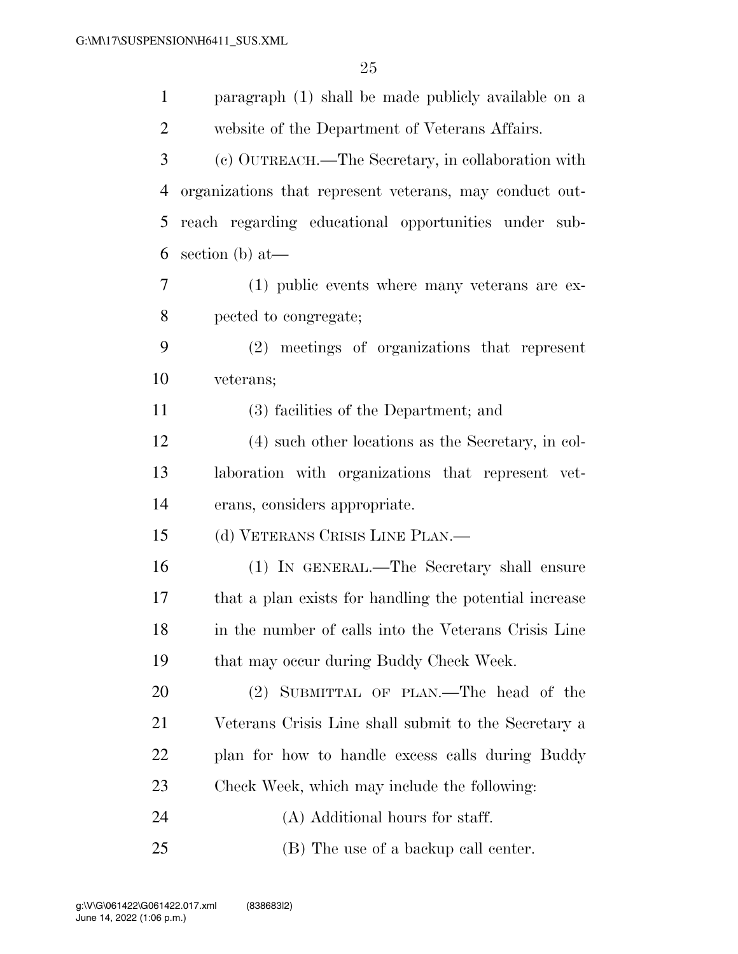| $\mathbf{1}$   | paragraph (1) shall be made publicly available on a     |
|----------------|---------------------------------------------------------|
| $\overline{2}$ | website of the Department of Veterans Affairs.          |
| 3              | (c) OUTREACH.—The Secretary, in collaboration with      |
| $\overline{4}$ | organizations that represent veterans, may conduct out- |
| 5              | reach regarding educational opportunities under sub-    |
| 6              | section $(b)$ at —                                      |
| 7              | $(1)$ public events where many veterans are ex-         |
| 8              | pected to congregate;                                   |
| 9              | (2) meetings of organizations that represent            |
| 10             | veterans;                                               |
| 11             | (3) facilities of the Department; and                   |
| 12             | (4) such other locations as the Secretary, in col-      |
| 13             | laboration with organizations that represent vet-       |
| 14             | erans, considers appropriate.                           |
| 15             | (d) VETERANS CRISIS LINE PLAN.—                         |
| 16             | (1) IN GENERAL.—The Secretary shall ensure              |
| 17             | that a plan exists for handling the potential increase  |
| 18             | in the number of calls into the Veterans Crisis Line    |
| 19             | that may occur during Buddy Check Week.                 |
| 20             | (2) SUBMITTAL OF PLAN.—The head of the                  |
| 21             | Veterans Crisis Line shall submit to the Secretary a    |
| <u>22</u>      | plan for how to handle excess calls during Buddy        |
| 23             | Check Week, which may include the following:            |
| 24             | (A) Additional hours for staff.                         |
| 25             | (B) The use of a backup call center.                    |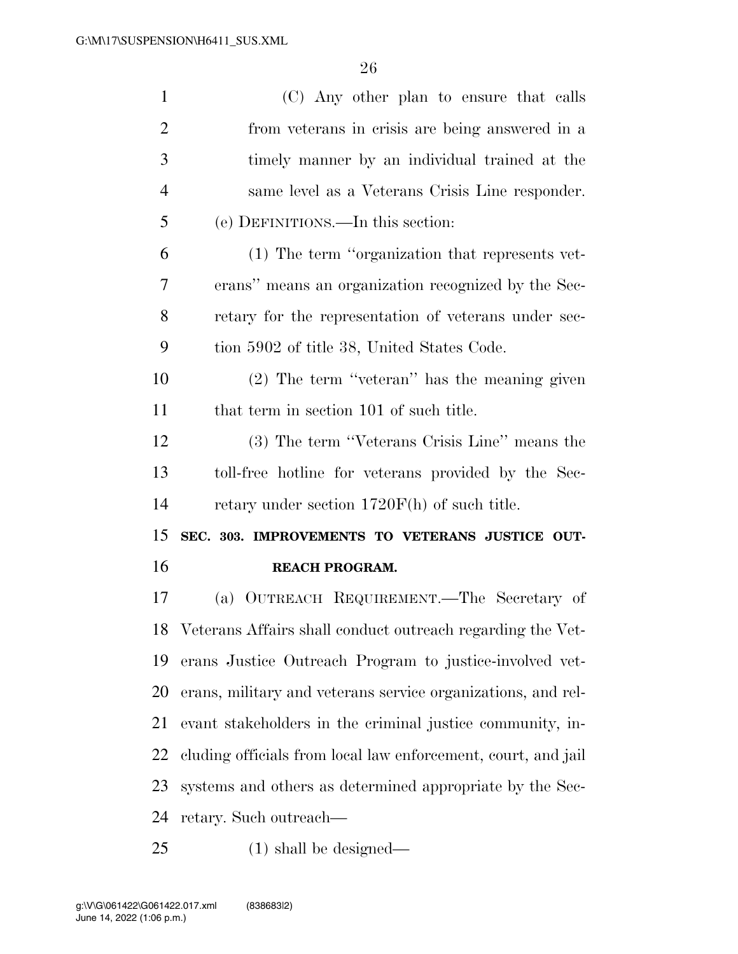| $\mathbf{1}$   | (C) Any other plan to ensure that calls                       |
|----------------|---------------------------------------------------------------|
| $\overline{2}$ | from veterans in crisis are being answered in a               |
| 3              | timely manner by an individual trained at the                 |
| $\overline{4}$ | same level as a Veterans Crisis Line responder.               |
| 5              | (e) DEFINITIONS.—In this section:                             |
| 6              | (1) The term "organization that represents vet-               |
| 7              | erans" means an organization recognized by the Sec-           |
| 8              | retary for the representation of veterans under sec-          |
| 9              | tion 5902 of title 38, United States Code.                    |
| 10             | (2) The term "veteran" has the meaning given                  |
| 11             | that term in section 101 of such title.                       |
| 12             | (3) The term "Veterans Crisis Line" means the                 |
| 13             | toll-free hotline for veterans provided by the Sec-           |
| 14             | retary under section $1720F(h)$ of such title.                |
| 15             | SEC. 303. IMPROVEMENTS TO VETERANS JUSTICE OUT-               |
| 16             | REACH PROGRAM.                                                |
| 17             | (a) OUTREACH REQUIREMENT.—The Secretary of                    |
|                | 18 Veterans Affairs shall conduct outreach regarding the Vet- |
| 19             | erans Justice Outreach Program to justice-involved vet-       |
| 20             | erans, military and veterans service organizations, and rel-  |
| 21             | evant stakeholders in the criminal justice community, in-     |
| 22             | cluding officials from local law enforcement, court, and jail |
| 23             | systems and others as determined appropriate by the Sec-      |
| 24             | retary. Such outreach—                                        |
| 25             | $(1)$ shall be designed—                                      |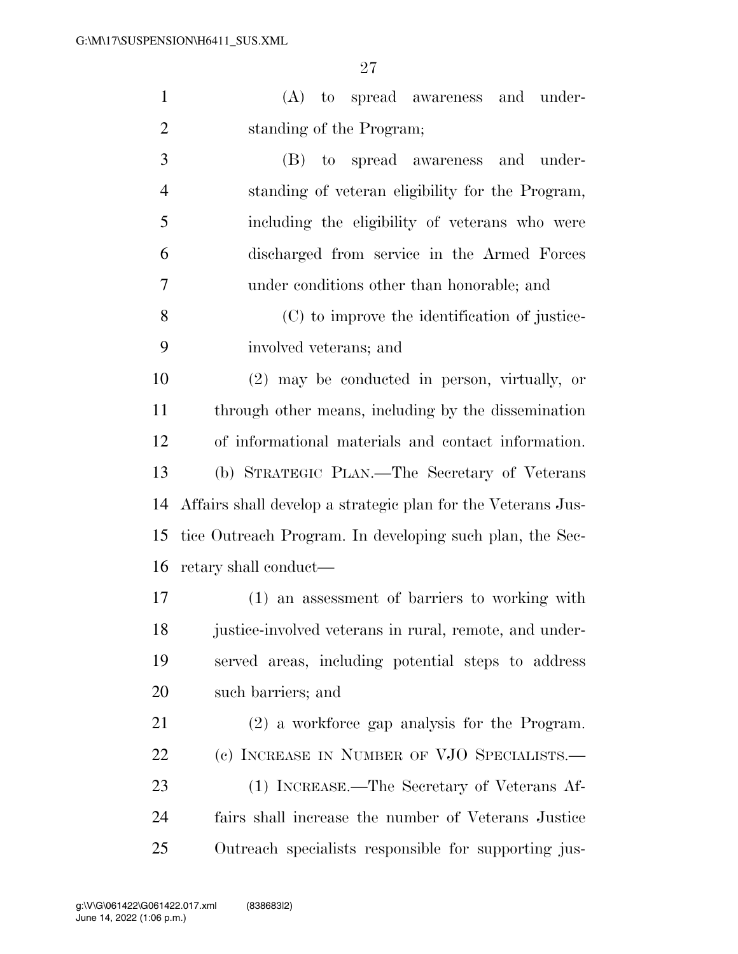(A) to spread awareness and under-standing of the Program;

 (B) to spread awareness and under- standing of veteran eligibility for the Program, including the eligibility of veterans who were discharged from service in the Armed Forces under conditions other than honorable; and

 (C) to improve the identification of justice-involved veterans; and

 (2) may be conducted in person, virtually, or through other means, including by the dissemination of informational materials and contact information. (b) STRATEGIC PLAN.—The Secretary of Veterans Affairs shall develop a strategic plan for the Veterans Jus- tice Outreach Program. In developing such plan, the Sec-retary shall conduct—

 (1) an assessment of barriers to working with 18 justice-involved veterans in rural, remote, and under- served areas, including potential steps to address such barriers; and

 (2) a workforce gap analysis for the Program. 22 (c) INCREASE IN NUMBER OF VJO SPECIALISTS.— (1) INCREASE.—The Secretary of Veterans Af- fairs shall increase the number of Veterans Justice Outreach specialists responsible for supporting jus-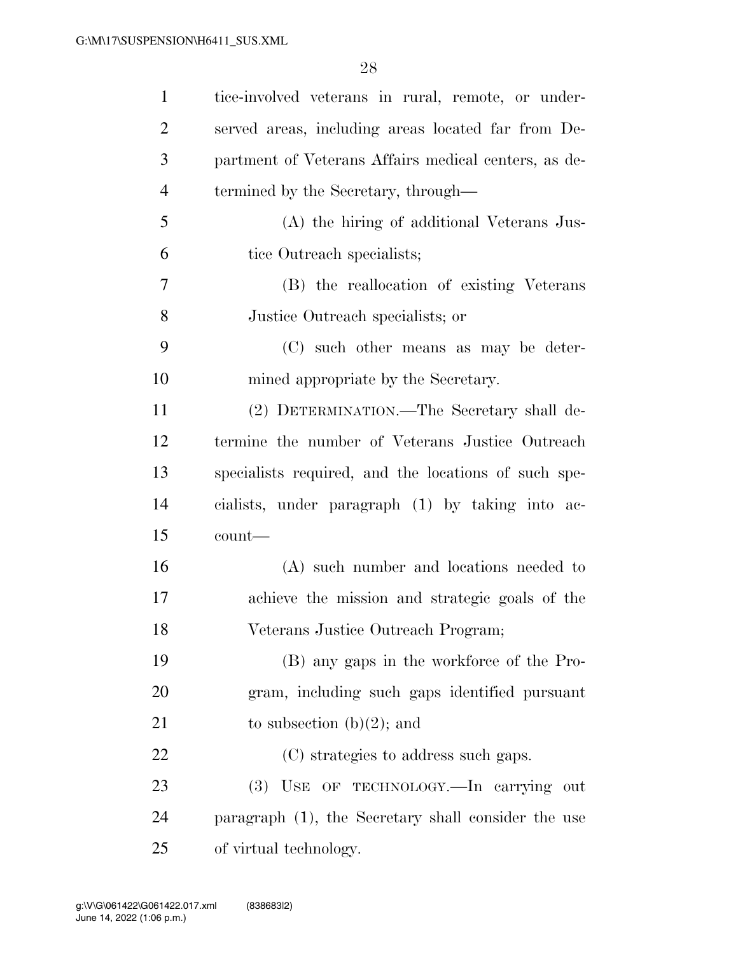| $\mathbf{1}$   | tice-involved veterans in rural, remote, or under-   |
|----------------|------------------------------------------------------|
| $\overline{2}$ | served areas, including areas located far from De-   |
| 3              | partment of Veterans Affairs medical centers, as de- |
| 4              | termined by the Secretary, through—                  |
| 5              | (A) the hiring of additional Veterans Jus-           |
| 6              | tice Outreach specialists;                           |
| 7              | (B) the reallocation of existing Veterans            |
| 8              | Justice Outreach specialists; or                     |
| 9              | (C) such other means as may be deter-                |
| 10             | mined appropriate by the Secretary.                  |
| 11             | (2) DETERMINATION.—The Secretary shall de-           |
| 12             | termine the number of Veterans Justice Outreach      |
| 13             | specialists required, and the locations of such spe- |
| 14             | cialists, under paragraph (1) by taking into ac-     |
| 15             | count-                                               |
| 16             | (A) such number and locations needed to              |
| 17             | achieve the mission and strategic goals of the       |
| 18             | Veterans Justice Outreach Program;                   |
| 19             | (B) any gaps in the workforce of the Pro-            |
| 20             | gram, including such gaps identified pursuant        |
| 21             | to subsection $(b)(2)$ ; and                         |
| 22             | (C) strategies to address such gaps.                 |
| 23             | USE OF TECHNOLOGY.—In carrying out<br>(3)            |
| 24             | paragraph (1), the Secretary shall consider the use  |
| 25             | of virtual technology.                               |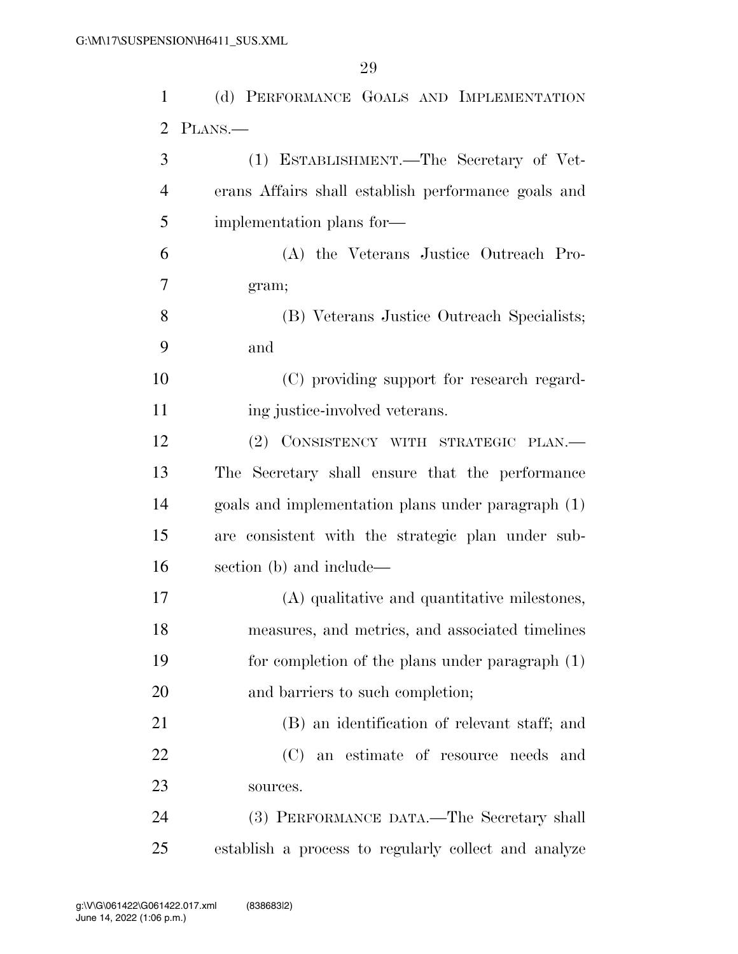| $\mathbf{1}$ | (d) PERFORMANCE GOALS AND IMPLEMENTATION             |
|--------------|------------------------------------------------------|
| 2            | PLANS.—                                              |
| 3            | (1) ESTABLISHMENT.—The Secretary of Vet-             |
| 4            | erans Affairs shall establish performance goals and  |
| 5            | implementation plans for-                            |
| 6            | (A) the Veterans Justice Outreach Pro-               |
| 7            | gram;                                                |
| 8            | (B) Veterans Justice Outreach Specialists;           |
| 9            | and                                                  |
| 10           | (C) providing support for research regard-           |
| 11           | ing justice-involved veterans.                       |
| 12           | (2) CONSISTENCY WITH STRATEGIC PLAN.                 |
| 13           | The Secretary shall ensure that the performance      |
| 14           | goals and implementation plans under paragraph (1)   |
| 15           | are consistent with the strategic plan under sub-    |
| 16           | section (b) and include—                             |
| 17           | (A) qualitative and quantitative milestones,         |
| 18           | measures, and metrics, and associated timelines      |
| 19           | for completion of the plans under paragraph $(1)$    |
| 20           | and barriers to such completion;                     |
| 21           | (B) an identification of relevant staff; and         |
| 22           | (C) an estimate of resource needs and                |
| 23           | sources.                                             |
| 24           | (3) PERFORMANCE DATA.—The Secretary shall            |
| 25           | establish a process to regularly collect and analyze |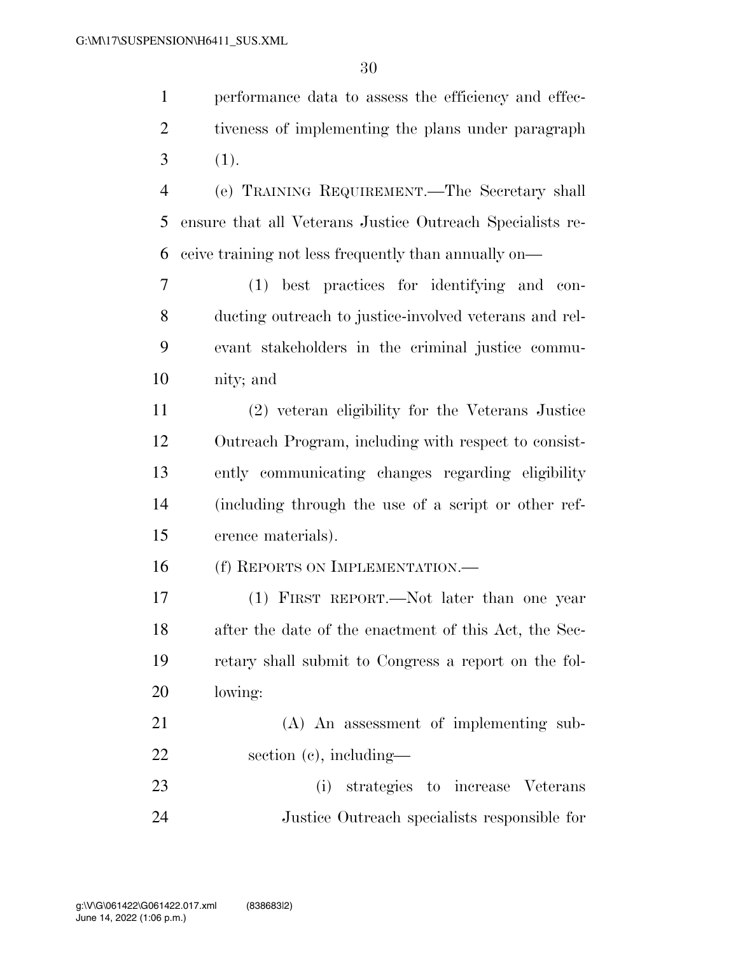performance data to assess the efficiency and effec- tiveness of implementing the plans under paragraph  $3(1).$ 

 (e) TRAINING REQUIREMENT.—The Secretary shall ensure that all Veterans Justice Outreach Specialists re-ceive training not less frequently than annually on—

 (1) best practices for identifying and con- ducting outreach to justice-involved veterans and rel- evant stakeholders in the criminal justice commu-nity; and

 (2) veteran eligibility for the Veterans Justice Outreach Program, including with respect to consist- ently communicating changes regarding eligibility (including through the use of a script or other ref-erence materials).

16 (f) REPORTS ON IMPLEMENTATION.—

 (1) FIRST REPORT.—Not later than one year after the date of the enactment of this Act, the Sec- retary shall submit to Congress a report on the fol-lowing:

 (A) An assessment of implementing sub-section (c), including—

 (i) strategies to increase Veterans Justice Outreach specialists responsible for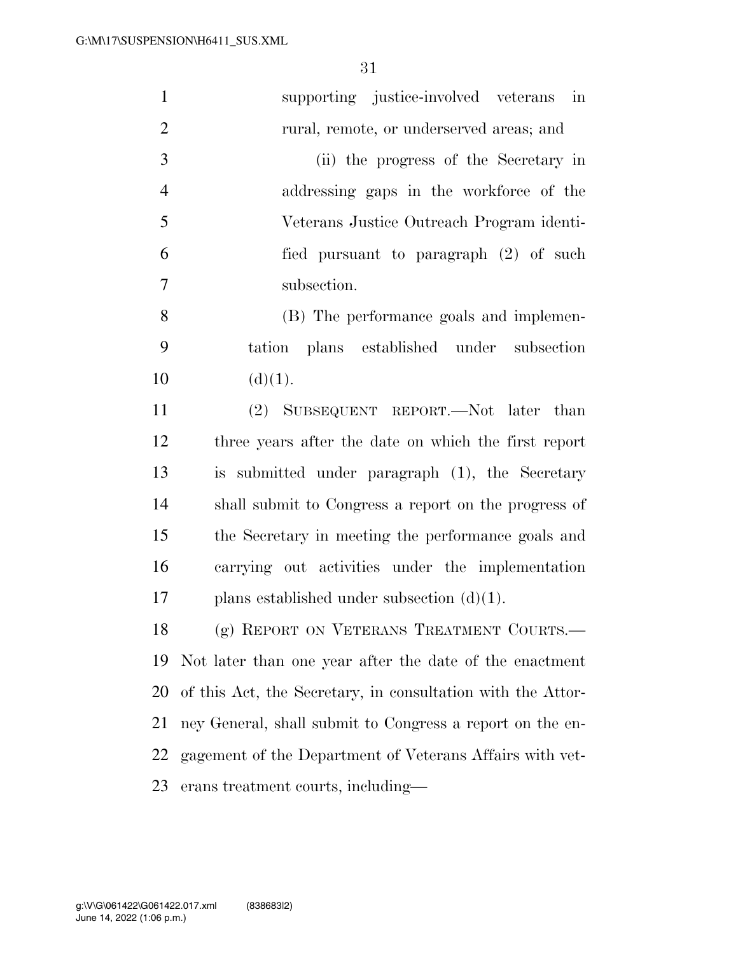| $\mathbf{1}$   | supporting justice-involved veterans in                     |
|----------------|-------------------------------------------------------------|
| $\overline{2}$ | rural, remote, or underserved areas; and                    |
| 3              | (ii) the progress of the Secretary in                       |
| $\overline{4}$ | addressing gaps in the workforce of the                     |
| 5              | Veterans Justice Outreach Program identi-                   |
| 6              | fied pursuant to paragraph (2) of such                      |
| $\tau$         | subsection.                                                 |
| 8              | (B) The performance goals and implemen-                     |
| 9              | tation plans established under subsection                   |
| 10             | (d)(1).                                                     |
| 11             | (2) SUBSEQUENT REPORT.—Not later than                       |
| 12             | three years after the date on which the first report        |
| 13             | is submitted under paragraph (1), the Secretary             |
| 14             | shall submit to Congress a report on the progress of        |
| 15             | the Secretary in meeting the performance goals and          |
| 16             | carrying out activities under the implementation            |
| 17             | plans established under subsection $(d)(1)$ .               |
| 18             | (g) REPORT ON VETERANS TREATMENT COURTS.-                   |
| 19             | Not later than one year after the date of the enactment     |
| 20             | of this Act, the Secretary, in consultation with the Attor- |
| 21             | ney General, shall submit to Congress a report on the en-   |
| 22             | gagement of the Department of Veterans Affairs with vet-    |
| 23             | erans treatment courts, including—                          |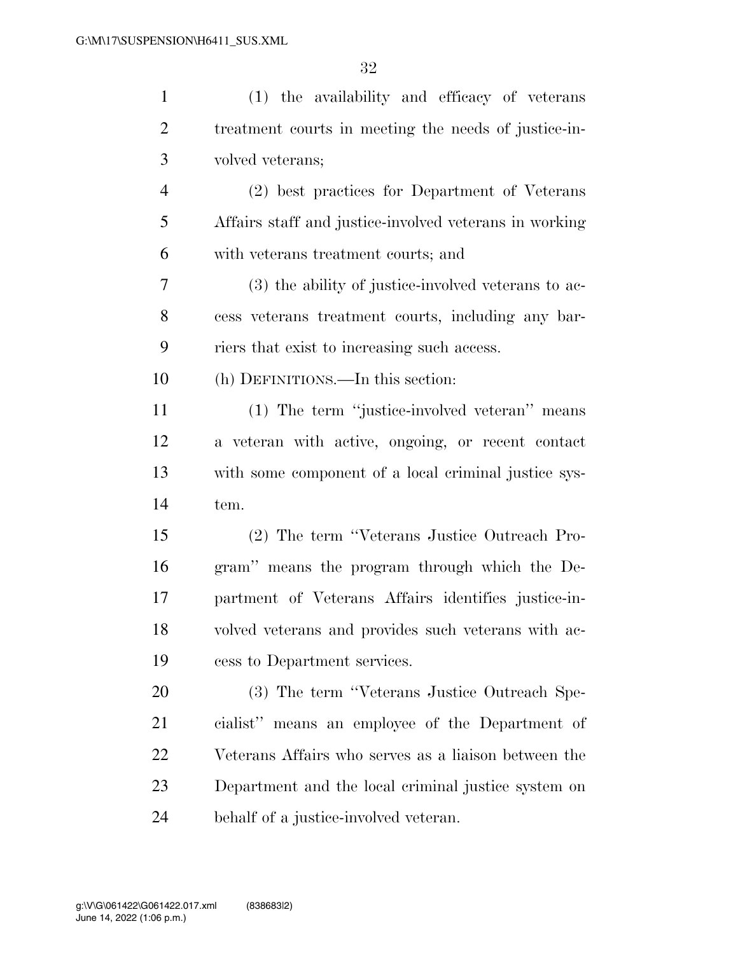| $\mathbf{1}$   | (1) the availability and efficacy of veterans          |
|----------------|--------------------------------------------------------|
| $\overline{2}$ | treatment courts in meeting the needs of justice-in-   |
| 3              | volved veterans;                                       |
| 4              | (2) best practices for Department of Veterans          |
| 5              | Affairs staff and justice-involved veterans in working |
| 6              | with veterans treatment courts; and                    |
| 7              | (3) the ability of justice-involved veterans to ac-    |
| 8              | cess veterans treatment courts, including any bar-     |
| 9              | riers that exist to increasing such access.            |
| 10             | (h) DEFINITIONS.—In this section:                      |
| 11             | (1) The term "justice-involved veteran" means          |
| 12             | a veteran with active, ongoing, or recent contact      |
| 13             | with some component of a local criminal justice sys-   |
| 14             | tem.                                                   |
| 15             | (2) The term "Veterans Justice Outreach Pro-           |
| 16             | gram" means the program through which the De-          |
| 17             | partment of Veterans Affairs identifies justice-in-    |
| 18             | volved veterans and provides such veterans with ac-    |
| 19             | cess to Department services.                           |
| 20             | (3) The term "Veterans Justice Outreach Spe-           |
| 21             | cialist" means an employee of the Department of        |
| 22             | Veterans Affairs who serves as a liaison between the   |
| 23             | Department and the local criminal justice system on    |
| 24             | behalf of a justice-involved veteran.                  |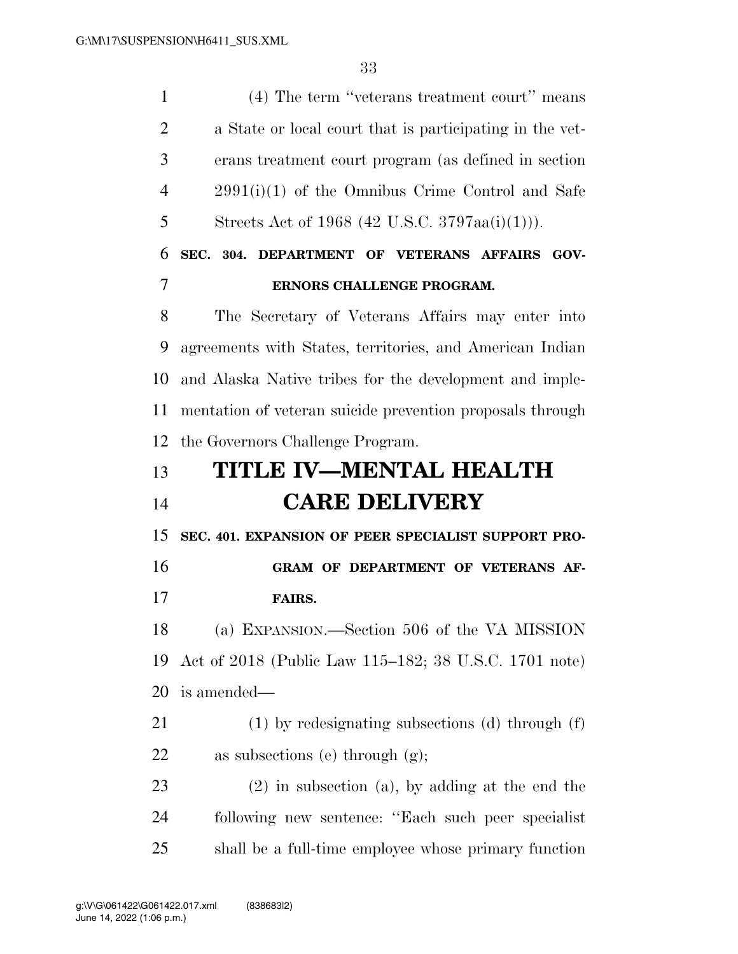(4) The term ''veterans treatment court'' means a State or local court that is participating in the vet- erans treatment court program (as defined in section 2991(i)(1) of the Omnibus Crime Control and Safe Streets Act of 1968 (42 U.S.C. 3797aa(i)(1))). **SEC. 304. DEPARTMENT OF VETERANS AFFAIRS GOV- ERNORS CHALLENGE PROGRAM.**  The Secretary of Veterans Affairs may enter into agreements with States, territories, and American Indian and Alaska Native tribes for the development and imple- mentation of veteran suicide prevention proposals through the Governors Challenge Program. **TITLE IV—MENTAL HEALTH CARE DELIVERY SEC. 401. EXPANSION OF PEER SPECIALIST SUPPORT PRO- GRAM OF DEPARTMENT OF VETERANS AF- FAIRS.**  (a) EXPANSION.—Section 506 of the VA MISSION Act of 2018 (Public Law 115–182; 38 U.S.C. 1701 note) is amended— (1) by redesignating subsections (d) through (f) as subsections (e) through (g); (2) in subsection (a), by adding at the end the following new sentence: ''Each such peer specialist shall be a full-time employee whose primary function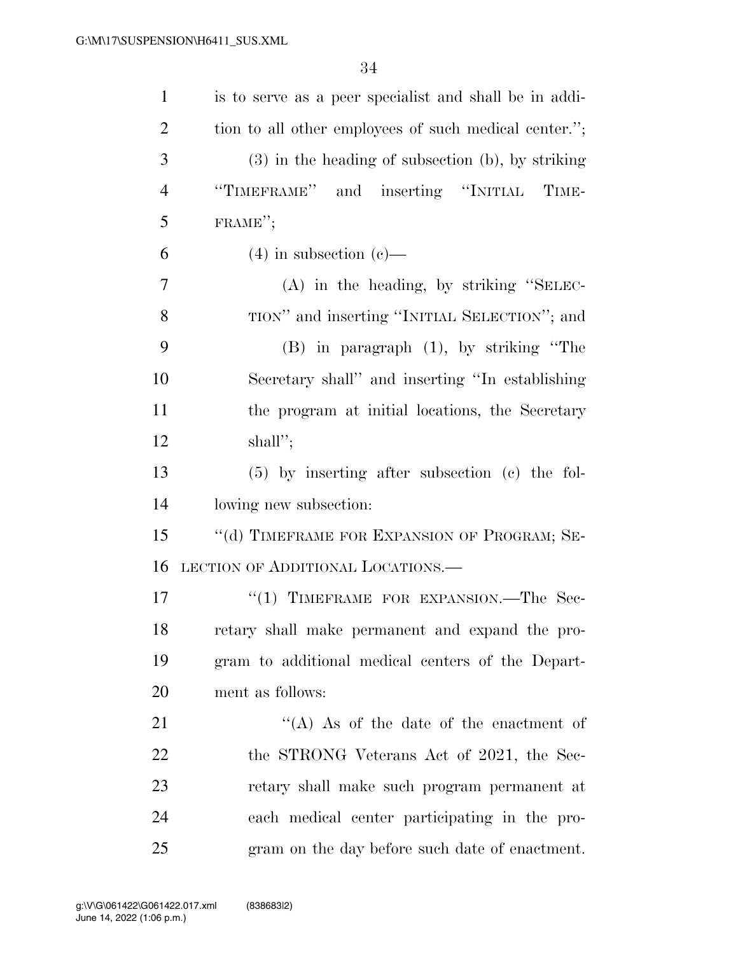| $\mathbf{1}$   | is to serve as a peer specialist and shall be in addi- |
|----------------|--------------------------------------------------------|
| $\overline{2}$ | tion to all other employees of such medical center.";  |
| 3              | $(3)$ in the heading of subsection (b), by striking    |
| $\overline{4}$ | "TIMEFRAME" and inserting "INITIAL TIME-               |
| 5              | FRAME";                                                |
| 6              | $(4)$ in subsection $(e)$ —                            |
| 7              | (A) in the heading, by striking "SELEC-                |
| 8              | TION" and inserting "INITIAL SELECTION"; and           |
| 9              | $(B)$ in paragraph $(1)$ , by striking "The            |
| 10             | Secretary shall" and inserting "In establishing        |
| 11             | the program at initial locations, the Secretary        |
| 12             | shall";                                                |
| 13             | $(5)$ by inserting after subsection (c) the fol-       |
| 14             | lowing new subsection:                                 |
| 15             | "(d) TIMEFRAME FOR EXPANSION OF PROGRAM; SE-           |
| 16             | LECTION OF ADDITIONAL LOCATIONS.—                      |
| 17             | "(1) TIMEFRAME FOR EXPANSION.—The Sec-                 |
| 18             | retary shall make permanent and expand the pro-        |
| 19             | gram to additional medical centers of the Depart-      |
| 20             | ment as follows:                                       |
| 21             | $\lq\lq$ (A) As of the date of the enactment of        |
| 22             | the STRONG Veterans Act of 2021, the Sec-              |
| 23             | retary shall make such program permanent at            |
| 24             | each medical center participating in the pro-          |
| 25             | gram on the day before such date of enactment.         |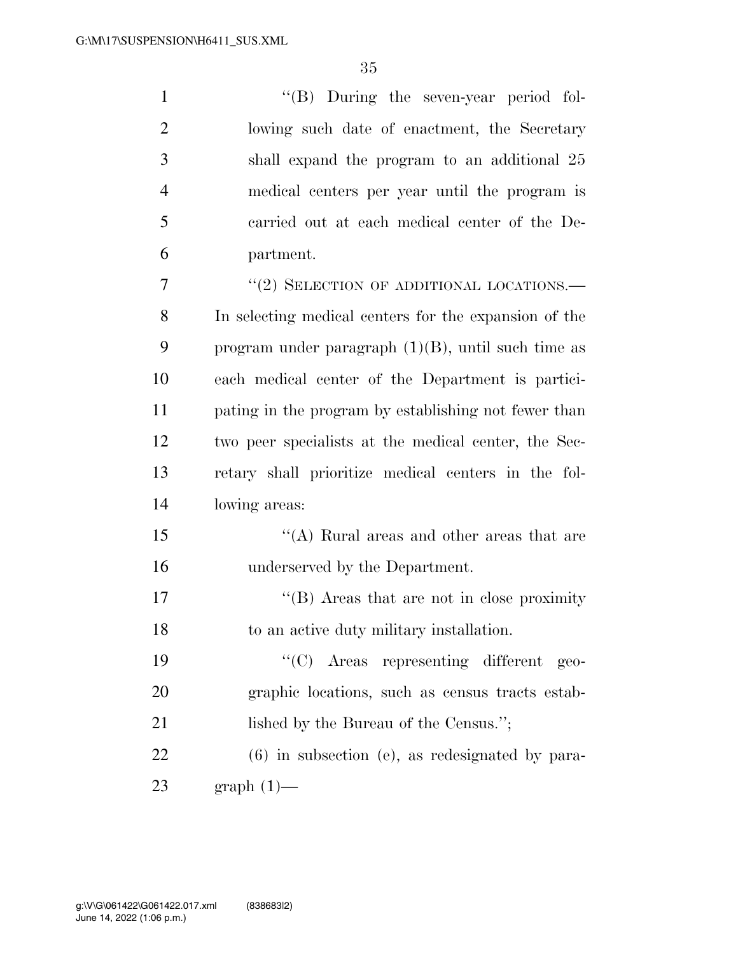| $\mathbf{1}$   | "(B) During the seven-year period fol-                |
|----------------|-------------------------------------------------------|
| $\overline{2}$ | lowing such date of enactment, the Secretary          |
| 3              | shall expand the program to an additional 25          |
| $\overline{4}$ | medical centers per year until the program is         |
| 5              | carried out at each medical center of the De-         |
| 6              | partment.                                             |
| $\overline{7}$ | "(2) SELECTION OF ADDITIONAL LOCATIONS.—              |
| 8              | In selecting medical centers for the expansion of the |
| 9              | program under paragraph $(1)(B)$ , until such time as |
| 10             | each medical center of the Department is partici-     |
| 11             | pating in the program by establishing not fewer than  |
| 12             | two peer specialists at the medical center, the Sec-  |
| 13             | retary shall prioritize medical centers in the fol-   |
| 14             | lowing areas:                                         |
| 15             | $\lq\lq$ Rural areas and other areas that are         |
| 16             | underserved by the Department.                        |
| 17             | $\lq\lq$ . Areas that are not in close proximity      |
| 18             | to an active duty military installation.              |
|                |                                                       |

 ''(C) Areas representing different geo- graphic locations, such as census tracts estab-21 lished by the Bureau of the Census.";

 (6) in subsection (e), as redesignated by para-graph (1)—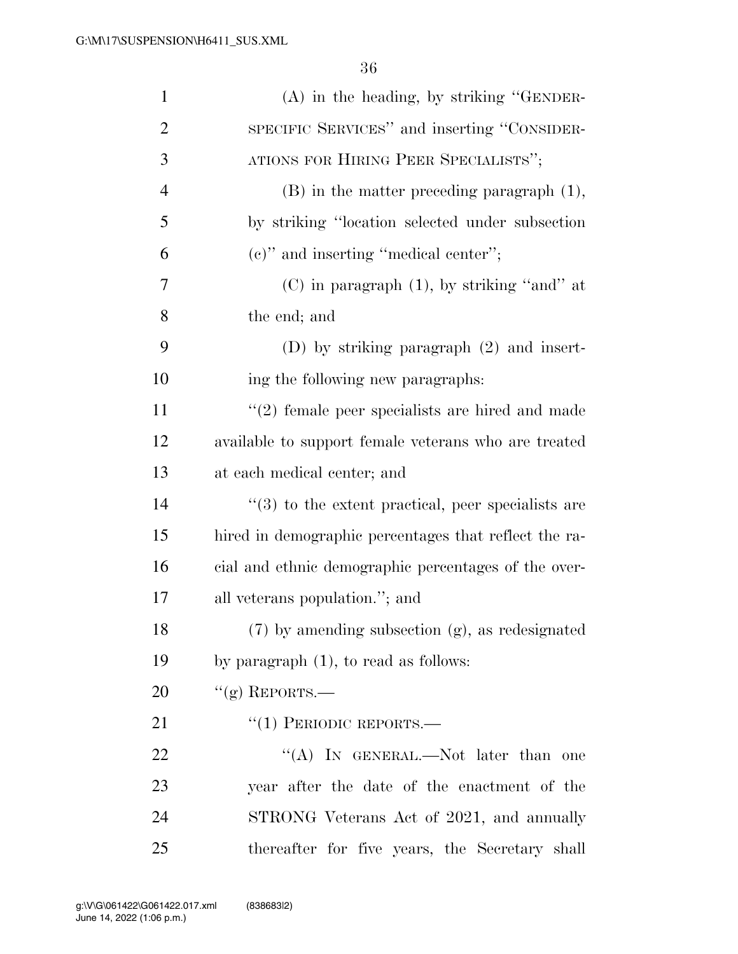| $\mathbf{1}$   | $(A)$ in the heading, by striking "GENDER-                     |
|----------------|----------------------------------------------------------------|
| $\overline{2}$ | SPECIFIC SERVICES" and inserting "CONSIDER-                    |
| 3              | ATIONS FOR HIRING PEER SPECIALISTS";                           |
| 4              | $(B)$ in the matter preceding paragraph $(1)$ ,                |
| 5              | by striking "location selected under subsection                |
| 6              | $(e)$ " and inserting "medical center";                        |
| 7              | $(C)$ in paragraph $(1)$ , by striking "and" at                |
| 8              | the end; and                                                   |
| 9              | $(D)$ by striking paragraph $(2)$ and insert-                  |
| 10             | ing the following new paragraphs:                              |
| 11             | $\lq(2)$ female peer specialists are hired and made            |
| 12             | available to support female veterans who are treated           |
| 13             | at each medical center; and                                    |
| 14             | $\cdot\cdot$ (3) to the extent practical, peer specialists are |
| 15             | hired in demographic percentages that reflect the ra-          |
| 16             | cial and ethnic demographic percentages of the over-           |
| 17             | all veterans population."; and                                 |
| 18             | $(7)$ by amending subsection $(g)$ , as redesignated           |
| 19             | by paragraph $(1)$ , to read as follows:                       |
| 20             | $``(g)$ REPORTS.—                                              |
| 21             | $``(1)$ PERIODIC REPORTS.—                                     |
| 22             | "(A) IN GENERAL.—Not later than one                            |
| 23             | year after the date of the enactment of the                    |
| 24             | STRONG Veterans Act of 2021, and annually                      |
| 25             | thereafter for five years, the Secretary shall                 |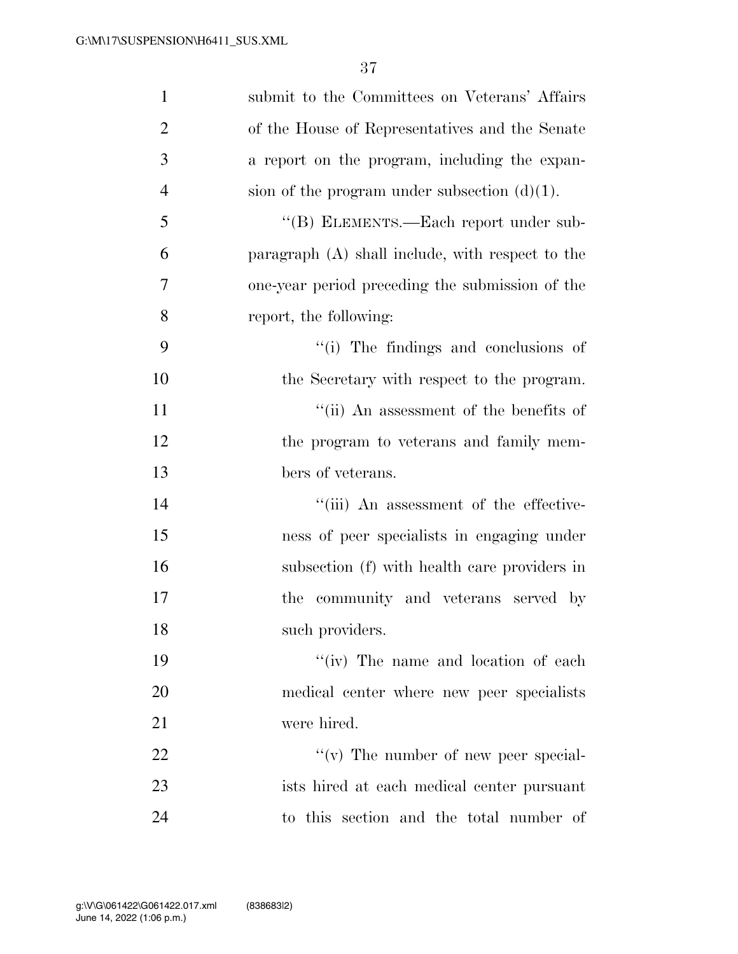| $\mathbf{1}$   | submit to the Committees on Veterans' Affairs    |
|----------------|--------------------------------------------------|
| $\overline{2}$ | of the House of Representatives and the Senate   |
| 3              | a report on the program, including the expan-    |
| $\overline{4}$ | sion of the program under subsection $(d)(1)$ .  |
| 5              | "(B) ELEMENTS.—Each report under sub-            |
| 6              | paragraph (A) shall include, with respect to the |
| $\overline{7}$ | one-year period preceding the submission of the  |
| 8              | report, the following:                           |
| 9              | "(i) The findings and conclusions of             |
| 10             | the Secretary with respect to the program.       |
| 11             | "(ii) An assessment of the benefits of           |
| 12             | the program to veterans and family mem-          |
| 13             | bers of veterans.                                |
| 14             | "(iii) An assessment of the effective-           |
| 15             | ness of peer specialists in engaging under       |
| 16             | subsection (f) with health care providers in     |
| 17             | the community and veterans served by             |
| 18             | such providers.                                  |
| 19             | "(iv) The name and location of each              |
| 20             | medical center where new peer specialists        |
| 21             | were hired.                                      |
| 22             | $\lq\lq$ (v) The number of new peer special-     |
| 23             | ists hired at each medical center pursuant       |
| 24             | to this section and the total number of          |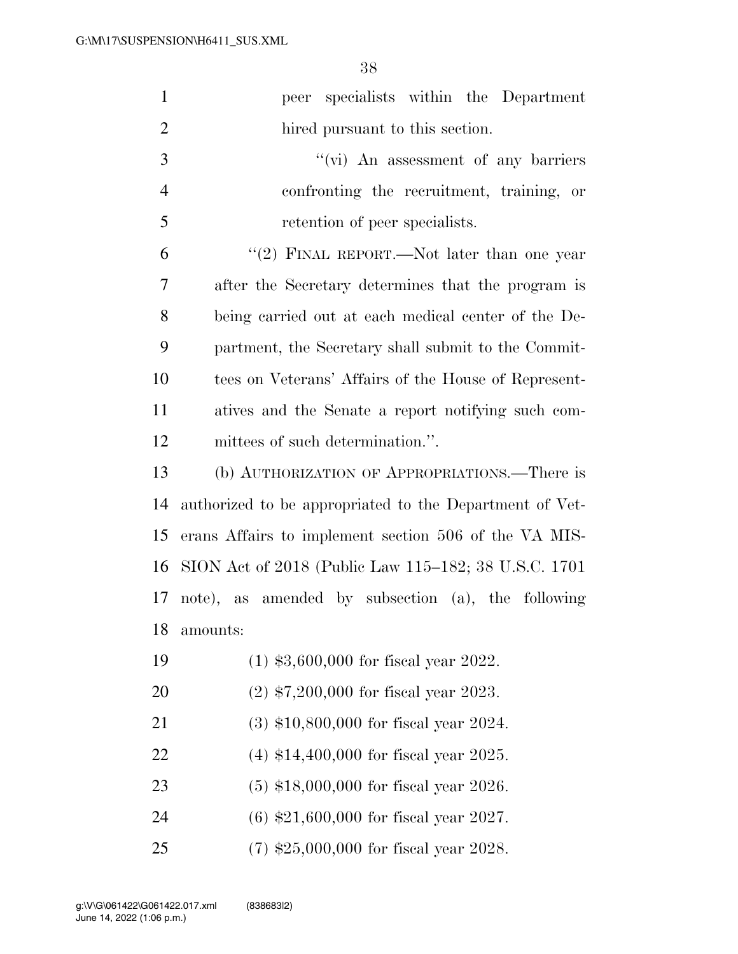| $\mathbf{1}$   | peer specialists within the Department                  |
|----------------|---------------------------------------------------------|
| $\overline{2}$ | hired pursuant to this section.                         |
| 3              | "(vi) An assessment of any barriers                     |
| $\overline{4}$ | confronting the recruitment, training, or               |
| 5              | retention of peer specialists.                          |
| 6              | "(2) FINAL REPORT.—Not later than one year              |
| 7              | after the Secretary determines that the program is      |
| 8              | being carried out at each medical center of the De-     |
| 9              | partment, the Secretary shall submit to the Commit-     |
| 10             | tees on Veterans' Affairs of the House of Represent-    |
| 11             | atives and the Senate a report notifying such com-      |
| 12             | mittees of such determination.".                        |
| 13             | (b) AUTHORIZATION OF APPROPRIATIONS.—There is           |
| 14             | authorized to be appropriated to the Department of Vet- |
| 15             | erans Affairs to implement section 506 of the VA MIS-   |
| 16             | SION Act of 2018 (Public Law 115–182; 38 U.S.C. 1701    |
|                | 17 note), as amended by subsection (a), the following   |
| 18             | amounts:                                                |
| 19             | $(1)$ \$3,600,000 for fiscal year 2022.                 |
| 20             | $(2)$ \$7,200,000 for fiscal year 2023.                 |
| 21             | $(3)$ \$10,800,000 for fiscal year 2024.                |
| 22             | $(4)$ \$14,400,000 for fiscal year 2025.                |
| 23             | $(5)$ \$18,000,000 for fiscal year 2026.                |
| 24             | $(6)$ \$21,600,000 for fiscal year 2027.                |
| 25             | $(7)$ \$25,000,000 for fiscal year 2028.                |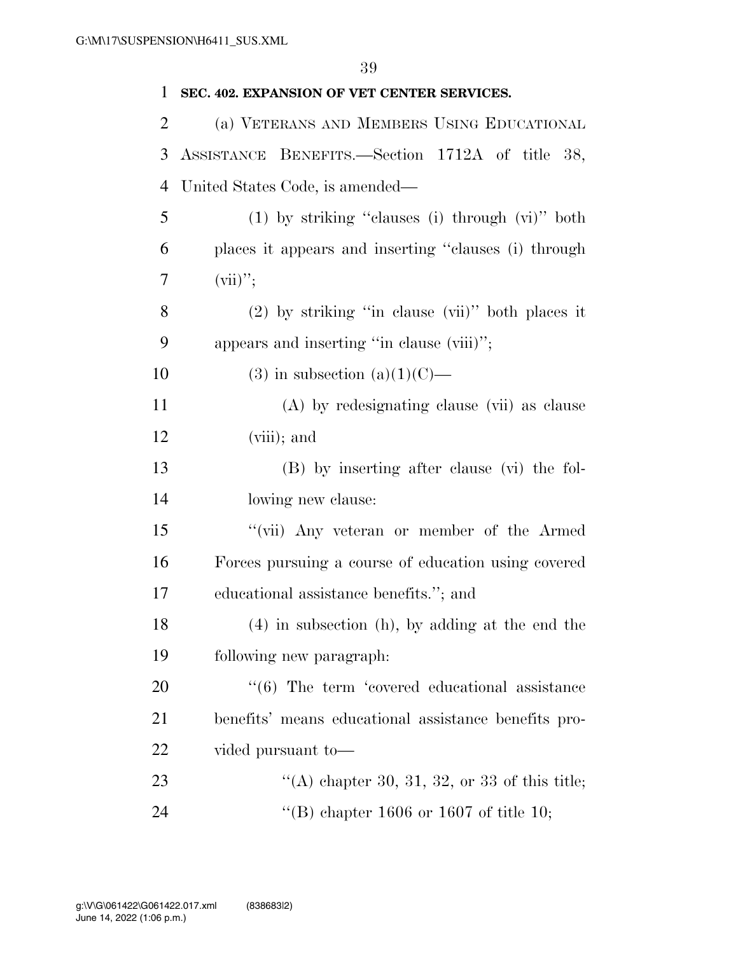| 1              | SEC. 402. EXPANSION OF VET CENTER SERVICES.               |
|----------------|-----------------------------------------------------------|
| $\overline{2}$ | (a) VETERANS AND MEMBERS USING EDUCATIONAL                |
| 3              | ASSISTANCE BENEFITS. Section 1712A of title 38,           |
| 4              | United States Code, is amended—                           |
| 5              | $(1)$ by striking "clauses (i) through $(vi)$ " both      |
| 6              | places it appears and inserting "clauses (i) through      |
| 7              | $(vii)$ ";                                                |
| 8              | $(2)$ by striking "in clause $(vii)$ " both places it     |
| 9              | appears and inserting "in clause (viii)";                 |
| 10             | $(3)$ in subsection $(a)(1)(C)$ —                         |
| 11             | (A) by redesignating clause (vii) as clause               |
| 12             | $(viii)$ ; and                                            |
| 13             | (B) by inserting after clause (vi) the fol-               |
| 14             | lowing new clause:                                        |
| 15             | "(vii) Any veteran or member of the Armed                 |
| 16             | Forces pursuing a course of education using covered       |
| 17             | educational assistance benefits."; and                    |
| 18             | (4) in subsection (h), by adding at the end the           |
| 19             | following new paragraph.                                  |
| 20             | $\cdot\cdot$ (6) The term 'covered educational assistance |
| 21             | benefits' means educational assistance benefits pro-      |
| 22             | vided pursuant to-                                        |
| 23             | "(A) chapter 30, 31, 32, or 33 of this title;             |
| 24             | "(B) chapter 1606 or 1607 of title 10;                    |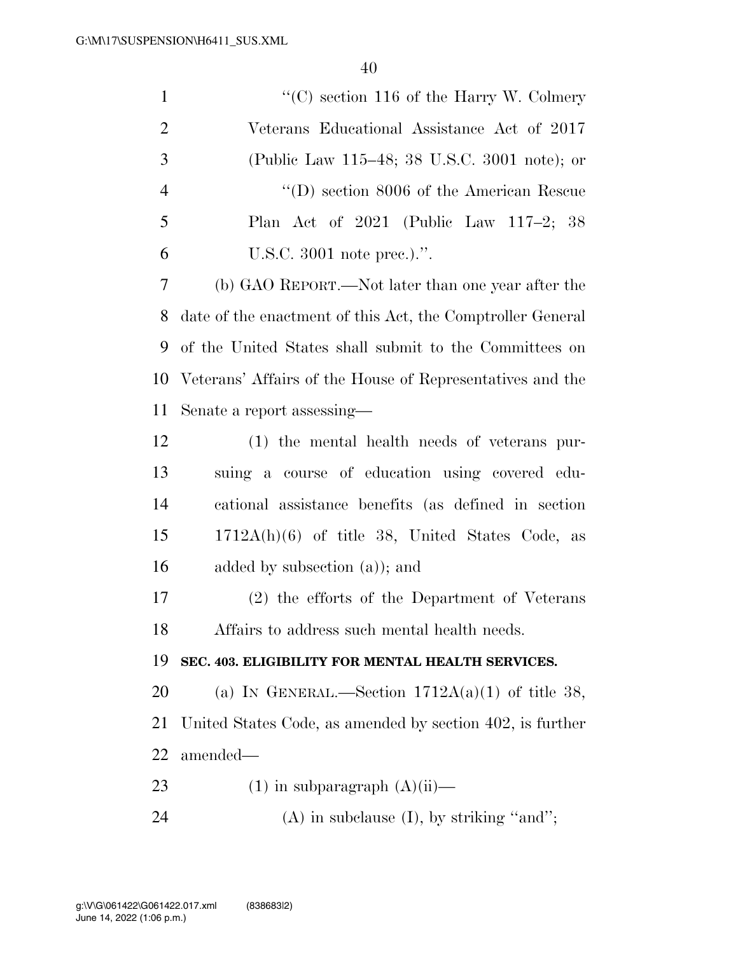| $\mathbf{1}$   | "(C) section 116 of the Harry W. Colmery"                  |
|----------------|------------------------------------------------------------|
| $\overline{2}$ | Veterans Educational Assistance Act of 2017                |
| 3              | (Public Law 115–48; 38 U.S.C. 3001 note); or               |
| $\overline{4}$ | $\lq\lq$ (D) section 8006 of the American Rescue           |
| 5              | Plan Act of $2021$ (Public Law 117-2; 38                   |
| 6              | U.S.C. 3001 note prec.).".                                 |
| 7              | (b) GAO REPORT.—Not later than one year after the          |
| 8              | date of the enactment of this Act, the Comptroller General |
| 9              | of the United States shall submit to the Committees on     |
| 10             | Veterans' Affairs of the House of Representatives and the  |
| 11             | Senate a report assessing—                                 |
| 12             | (1) the mental health needs of veterans pur-               |
| 13             | suing a course of education using covered edu-             |
| 14             | cational assistance benefits (as defined in section        |
| 15             | $1712A(h)(6)$ of title 38, United States Code, as          |
| 16             | added by subsection $(a)$ ; and                            |
| 17             | (2) the efforts of the Department of Veterans              |
| 18             | Affairs to address such mental health needs.               |
| 19             | SEC. 403. ELIGIBILITY FOR MENTAL HEALTH SERVICES.          |
| 20             | (a) IN GENERAL.—Section $1712A(a)(1)$ of title 38,         |
| 21             | United States Code, as amended by section 402, is further  |
| 22             | amended—                                                   |
| 23             | $(1)$ in subparagraph $(A)(ii)$ —                          |
| 24             | $(A)$ in subclause $(I)$ , by striking "and";              |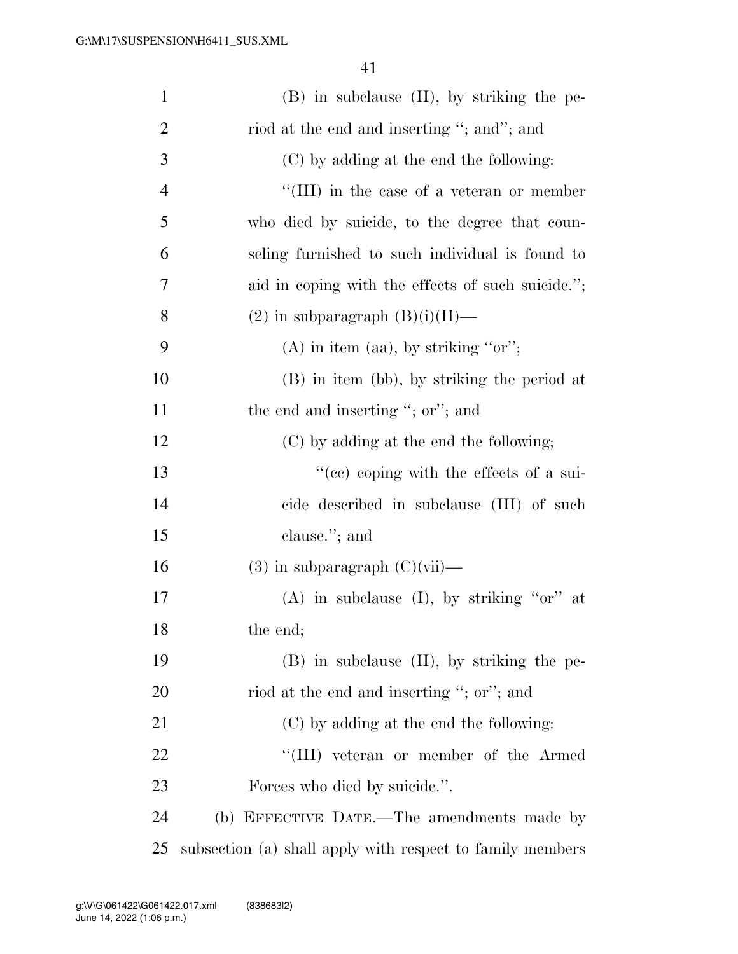| $\mathbf{1}$   | $(B)$ in subclause $(II)$ , by striking the pe-           |
|----------------|-----------------------------------------------------------|
| $\overline{2}$ | riod at the end and inserting "; and"; and                |
| 3              | (C) by adding at the end the following:                   |
| $\overline{4}$ | $\lq\lq$ (III) in the case of a veteran or member         |
| 5              | who died by suicide, to the degree that coun-             |
| 6              | seling furnished to such individual is found to           |
| 7              | aid in coping with the effects of such suicide.";         |
| 8              | $(2)$ in subparagraph $(B)(i)(II)$ —                      |
| 9              | $(A)$ in item (aa), by striking "or";                     |
| 10             | (B) in item (bb), by striking the period at               |
| 11             | the end and inserting "; or"; and                         |
| 12             | (C) by adding at the end the following;                   |
| 13             | $\cdot$ (ce) coping with the effects of a sui-            |
| 14             | cide described in subclause (III) of such                 |
| 15             | clause."; and                                             |
| 16             | $(3)$ in subparagraph $(C)(vii)$ —                        |
| 17             | (A) in subclause (I), by striking " $or$ " at             |
| 18             | the end;                                                  |
| 19             | $(B)$ in subclause $(II)$ , by striking the pe-           |
| 20             | riod at the end and inserting "; or"; and                 |
| 21             | (C) by adding at the end the following:                   |
| 22             | "(III) veteran or member of the Armed                     |
| 23             | Forces who died by suicide.".                             |
| 24             | (b) EFFECTIVE DATE.—The amendments made by                |
| 25             | subsection (a) shall apply with respect to family members |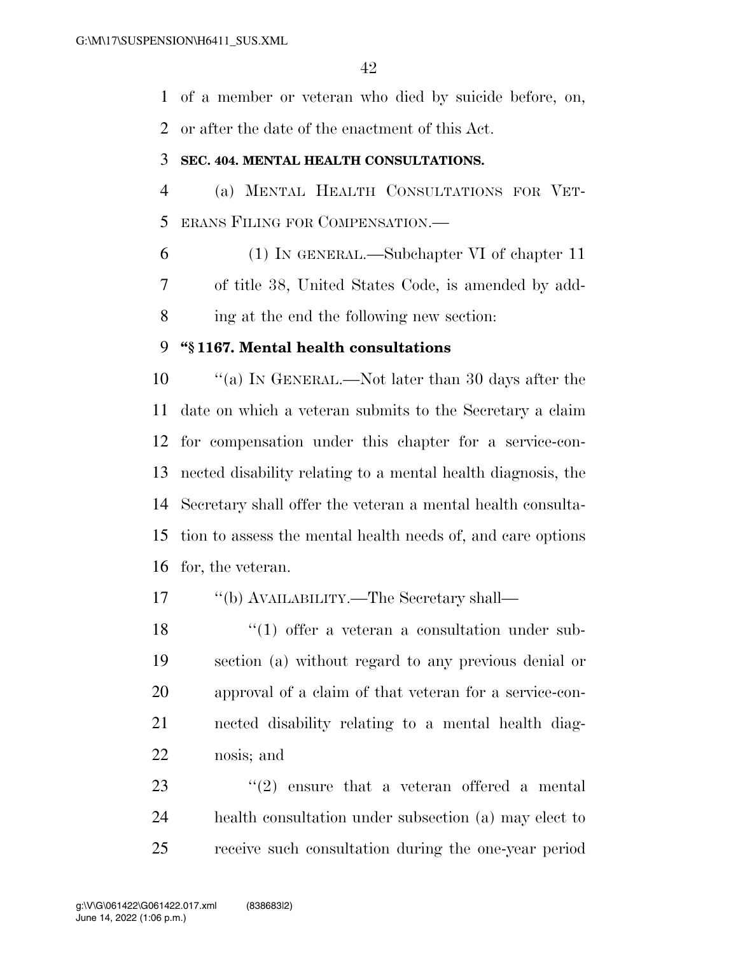of a member or veteran who died by suicide before, on,

or after the date of the enactment of this Act.

### **SEC. 404. MENTAL HEALTH CONSULTATIONS.**

 (a) MENTAL HEALTH CONSULTATIONS FOR VET-ERANS FILING FOR COMPENSATION.—

 (1) IN GENERAL.—Subchapter VI of chapter 11 of title 38, United States Code, is amended by add-ing at the end the following new section:

## **''§ 1167. Mental health consultations**

 ''(a) IN GENERAL.—Not later than 30 days after the date on which a veteran submits to the Secretary a claim for compensation under this chapter for a service-con- nected disability relating to a mental health diagnosis, the Secretary shall offer the veteran a mental health consulta- tion to assess the mental health needs of, and care options for, the veteran.

''(b) AVAILABILITY.—The Secretary shall—

18 ''(1) offer a veteran a consultation under sub- section (a) without regard to any previous denial or approval of a claim of that veteran for a service-con- nected disability relating to a mental health diag-nosis; and

23  $(2)$  ensure that a veteran offered a mental health consultation under subsection (a) may elect to receive such consultation during the one-year period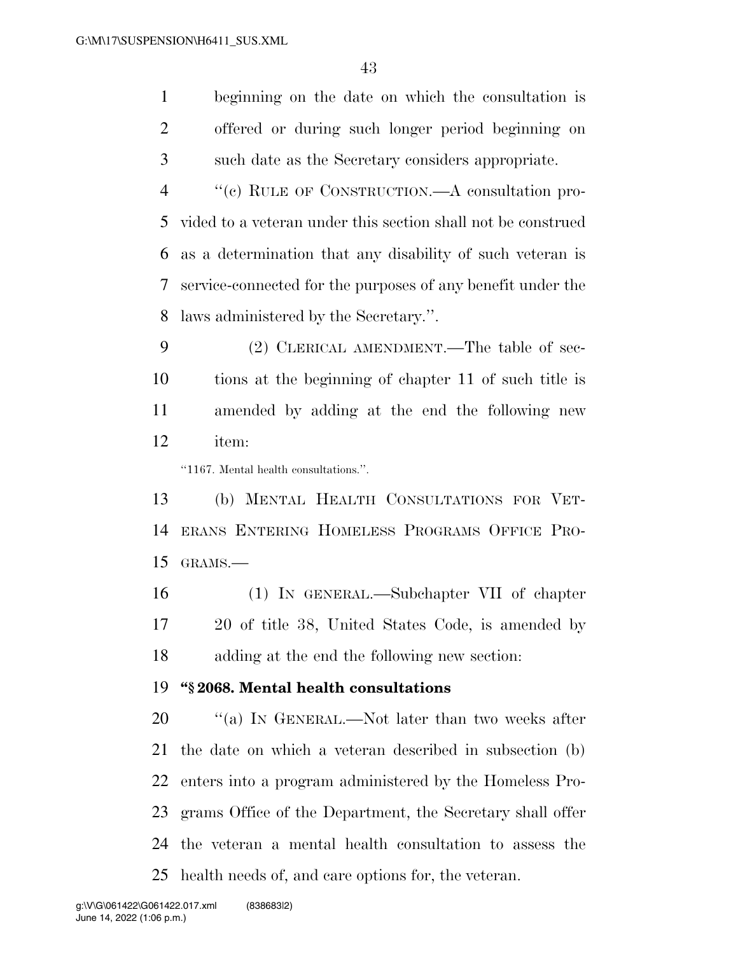beginning on the date on which the consultation is offered or during such longer period beginning on such date as the Secretary considers appropriate.

 ''(c) RULE OF CONSTRUCTION.—A consultation pro- vided to a veteran under this section shall not be construed as a determination that any disability of such veteran is service-connected for the purposes of any benefit under the laws administered by the Secretary.''.

 (2) CLERICAL AMENDMENT.—The table of sec- tions at the beginning of chapter 11 of such title is amended by adding at the end the following new item:

''1167. Mental health consultations.''.

 (b) MENTAL HEALTH CONSULTATIONS FOR VET- ERANS ENTERING HOMELESS PROGRAMS OFFICE PRO-GRAMS.—

 (1) IN GENERAL.—Subchapter VII of chapter 20 of title 38, United States Code, is amended by adding at the end the following new section:

### **''§ 2068. Mental health consultations**

20 "(a) In GENERAL.—Not later than two weeks after the date on which a veteran described in subsection (b) enters into a program administered by the Homeless Pro- grams Office of the Department, the Secretary shall offer the veteran a mental health consultation to assess the health needs of, and care options for, the veteran.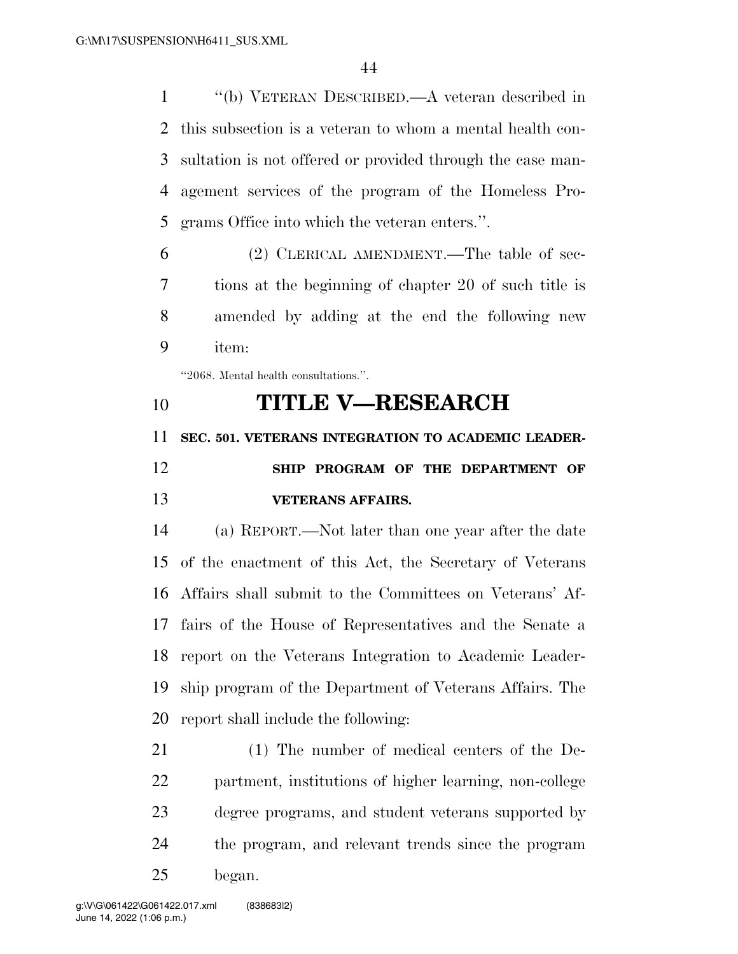''(b) VETERAN DESCRIBED.—A veteran described in this subsection is a veteran to whom a mental health con- sultation is not offered or provided through the case man- agement services of the program of the Homeless Pro-grams Office into which the veteran enters.''.

 (2) CLERICAL AMENDMENT.—The table of sec- tions at the beginning of chapter 20 of such title is amended by adding at the end the following new item:

''2068. Mental health consultations.''.

# **TITLE V—RESEARCH**

 **SEC. 501. VETERANS INTEGRATION TO ACADEMIC LEADER- SHIP PROGRAM OF THE DEPARTMENT OF VETERANS AFFAIRS.** 

 (a) REPORT.—Not later than one year after the date of the enactment of this Act, the Secretary of Veterans Affairs shall submit to the Committees on Veterans' Af- fairs of the House of Representatives and the Senate a report on the Veterans Integration to Academic Leader- ship program of the Department of Veterans Affairs. The report shall include the following:

 (1) The number of medical centers of the De- partment, institutions of higher learning, non-college degree programs, and student veterans supported by the program, and relevant trends since the program began.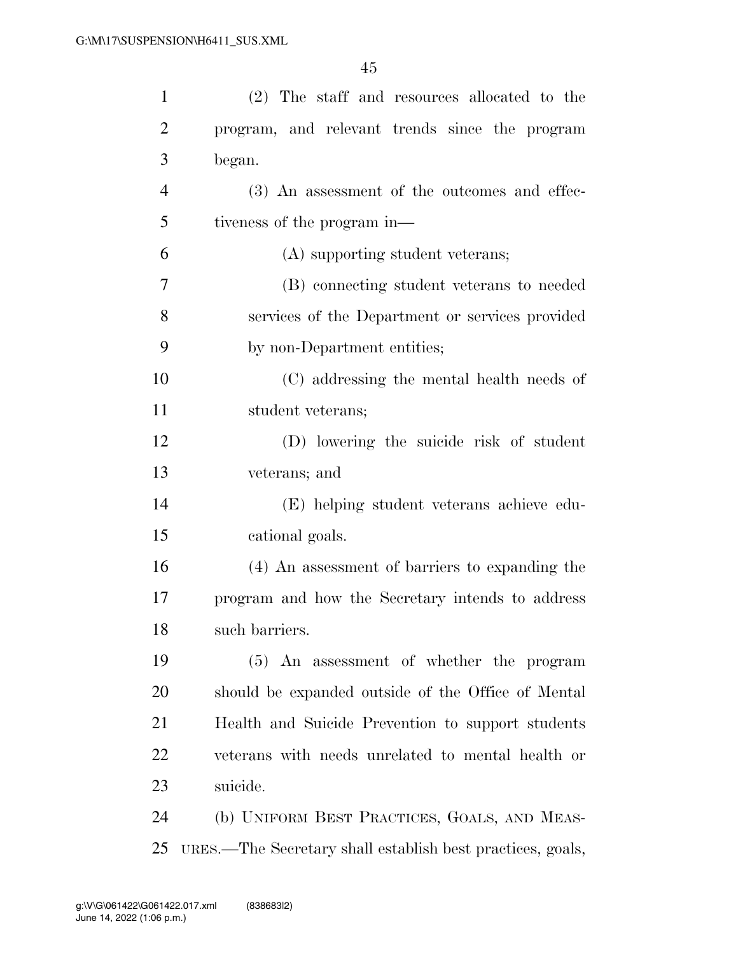| $\mathbf{1}$   | (2) The staff and resources allocated to the               |
|----------------|------------------------------------------------------------|
| $\overline{2}$ | program, and relevant trends since the program             |
| 3              | began.                                                     |
| 4              | (3) An assessment of the outcomes and effec-               |
| 5              | tiveness of the program in—                                |
| 6              | (A) supporting student veterans;                           |
| 7              | (B) connecting student veterans to needed                  |
| 8              | services of the Department or services provided            |
| 9              | by non-Department entities;                                |
| 10             | (C) addressing the mental health needs of                  |
| 11             | student veterans;                                          |
| 12             | (D) lowering the suicide risk of student                   |
| 13             | veterans; and                                              |
| 14             | (E) helping student veterans achieve edu-                  |
| 15             | cational goals.                                            |
| 16             | (4) An assessment of barriers to expanding the             |
| 17             | program and how the Secretary intends to address           |
| 18             | such barriers.                                             |
| 19             | (5) An assessment of whether the program                   |
| 20             | should be expanded outside of the Office of Mental         |
| 21             | Health and Suicide Prevention to support students          |
| 22             | veterans with needs unrelated to mental health or          |
| 23             | suicide.                                                   |
| 24             | (b) UNIFORM BEST PRACTICES, GOALS, AND MEAS-               |
| 25             | URES.—The Secretary shall establish best practices, goals, |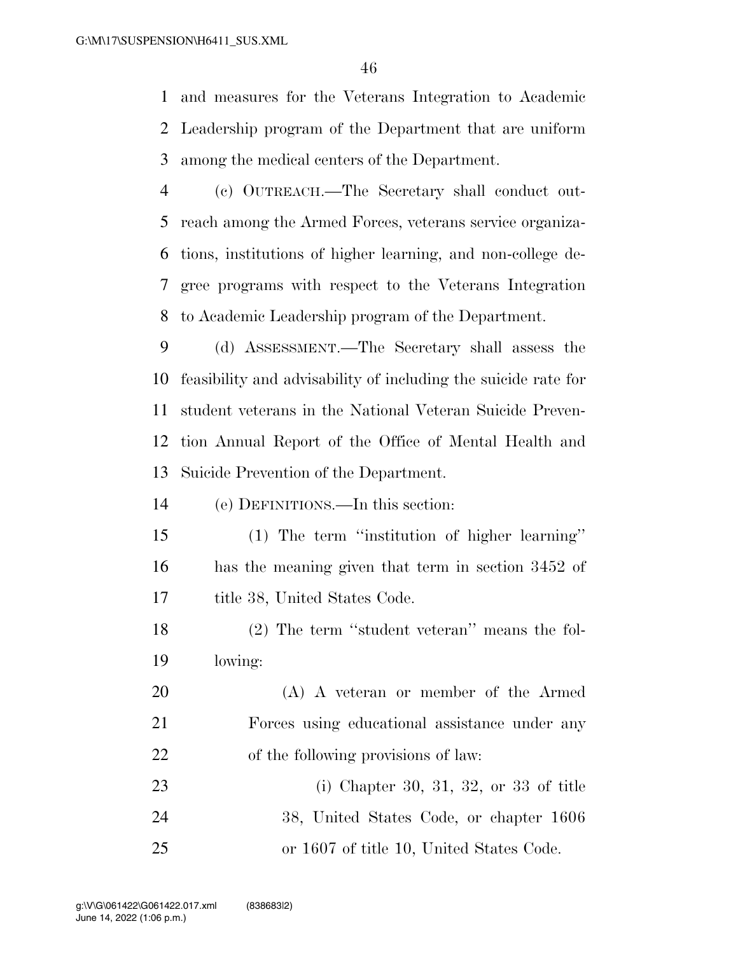and measures for the Veterans Integration to Academic Leadership program of the Department that are uniform among the medical centers of the Department.

 (c) OUTREACH.—The Secretary shall conduct out- reach among the Armed Forces, veterans service organiza- tions, institutions of higher learning, and non-college de- gree programs with respect to the Veterans Integration to Academic Leadership program of the Department.

 (d) ASSESSMENT.—The Secretary shall assess the feasibility and advisability of including the suicide rate for student veterans in the National Veteran Suicide Preven- tion Annual Report of the Office of Mental Health and Suicide Prevention of the Department.

(e) DEFINITIONS.—In this section:

 (1) The term ''institution of higher learning'' has the meaning given that term in section 3452 of title 38, United States Code.

18 (2) The term "student veteran" means the fol-lowing:

 (A) A veteran or member of the Armed Forces using educational assistance under any of the following provisions of law:

 (i) Chapter 30, 31, 32, or 33 of title 38, United States Code, or chapter 1606 or 1607 of title 10, United States Code.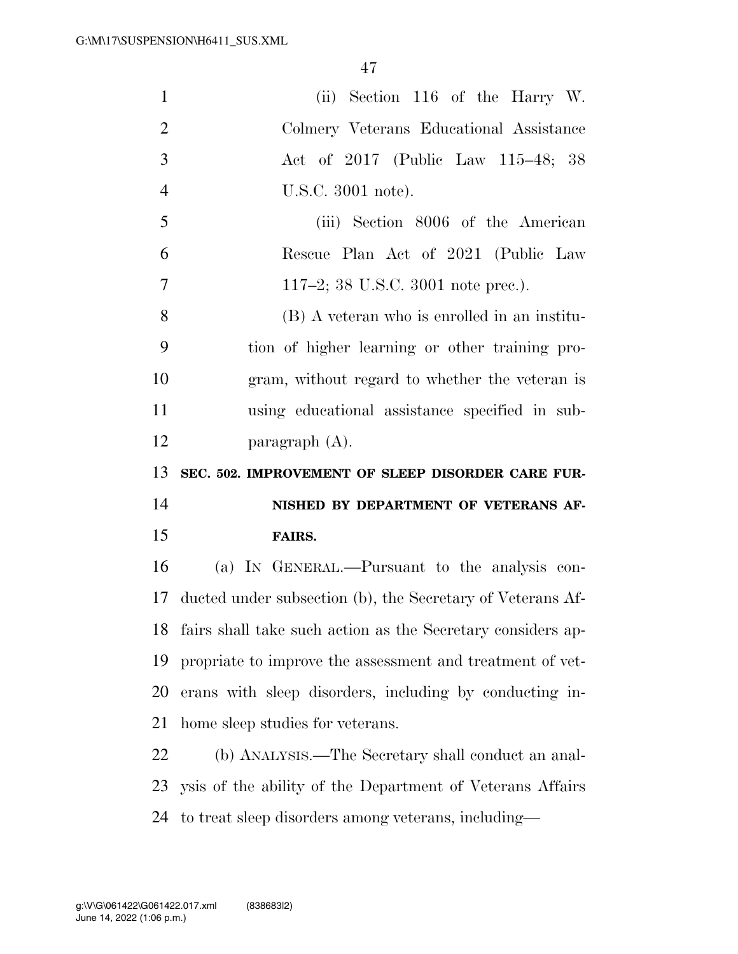| $\mathbf{1}$   | (ii) Section 116 of the Harry W.                            |
|----------------|-------------------------------------------------------------|
| $\overline{2}$ | Colmery Veterans Educational Assistance                     |
| 3              | Act of 2017 (Public Law 115–48; 38                          |
| $\overline{4}$ | U.S.C. 3001 note).                                          |
| 5              | (iii) Section 8006 of the American                          |
| 6              | Rescue Plan Act of 2021 (Public Law                         |
| 7              | 117–2; 38 U.S.C. 3001 note prec.).                          |
| 8              | (B) A veteran who is enrolled in an institu-                |
| 9              | tion of higher learning or other training pro-              |
| 10             | gram, without regard to whether the veteran is              |
| 11             | using educational assistance specified in sub-              |
| 12             | paragraph $(A)$ .                                           |
|                |                                                             |
| 13             | SEC. 502. IMPROVEMENT OF SLEEP DISORDER CARE FUR-           |
| 14             | NISHED BY DEPARTMENT OF VETERANS AF-                        |
| 15             | FAIRS.                                                      |
| 16             | (a) IN GENERAL.—Pursuant to the analysis con-               |
| 17             | ducted under subsection (b), the Secretary of Veterans Af-  |
| 18             | fairs shall take such action as the Secretary considers ap- |
| 19             | propriate to improve the assessment and treatment of vet-   |
| 20             | erans with sleep disorders, including by conducting in-     |
| 21             | home sleep studies for veterans.                            |
| 22             | (b) ANALYSIS.—The Secretary shall conduct an anal-          |
| 23             | ysis of the ability of the Department of Veterans Affairs   |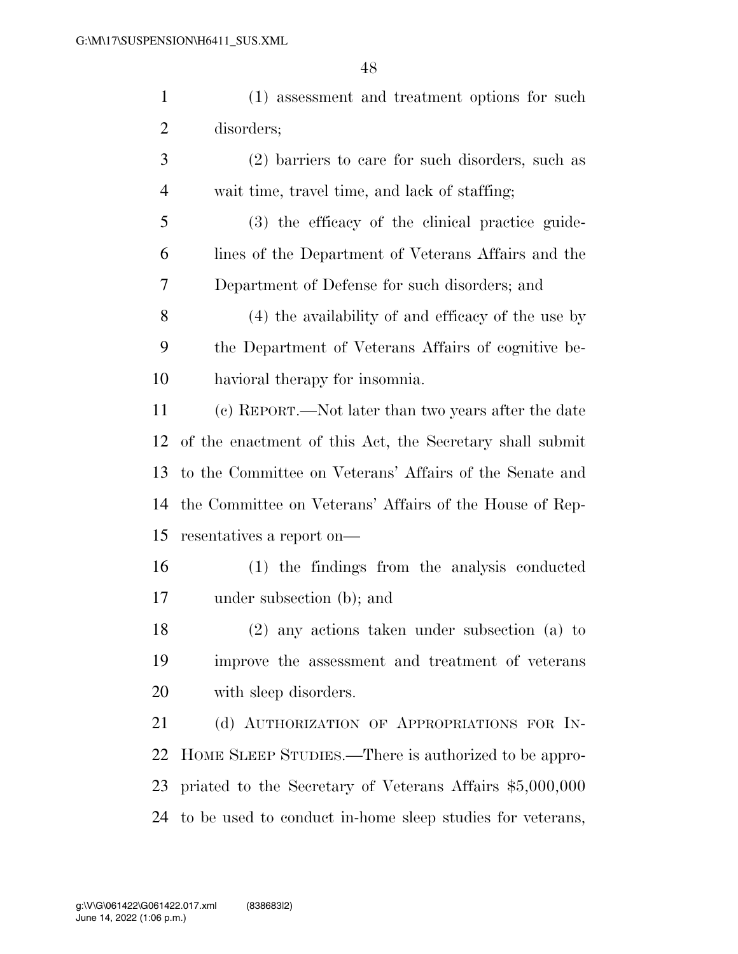(1) assessment and treatment options for such disorders; (2) barriers to care for such disorders, such as wait time, travel time, and lack of staffing;

 (3) the efficacy of the clinical practice guide- lines of the Department of Veterans Affairs and the Department of Defense for such disorders; and

 (4) the availability of and efficacy of the use by the Department of Veterans Affairs of cognitive be-havioral therapy for insomnia.

 (c) REPORT.—Not later than two years after the date of the enactment of this Act, the Secretary shall submit to the Committee on Veterans' Affairs of the Senate and the Committee on Veterans' Affairs of the House of Rep-resentatives a report on—

 (1) the findings from the analysis conducted under subsection (b); and

 (2) any actions taken under subsection (a) to improve the assessment and treatment of veterans with sleep disorders.

21 (d) AUTHORIZATION OF APPROPRIATIONS FOR IN- HOME SLEEP STUDIES.—There is authorized to be appro- priated to the Secretary of Veterans Affairs \$5,000,000 to be used to conduct in-home sleep studies for veterans,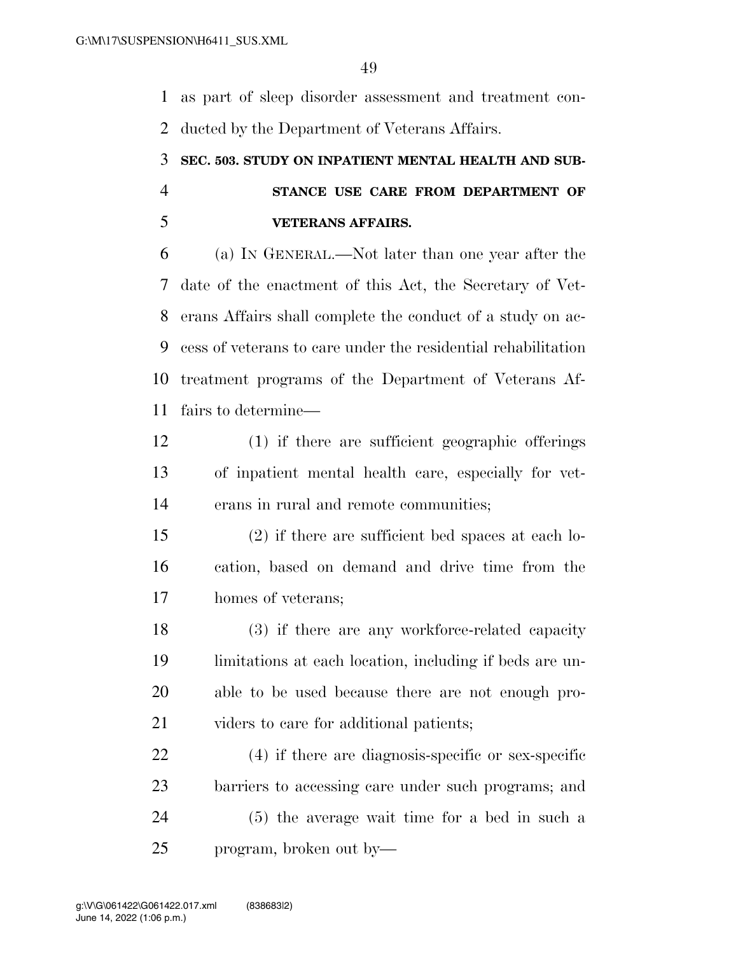as part of sleep disorder assessment and treatment con-ducted by the Department of Veterans Affairs.

# **SEC. 503. STUDY ON INPATIENT MENTAL HEALTH AND SUB- STANCE USE CARE FROM DEPARTMENT OF VETERANS AFFAIRS.**

 (a) IN GENERAL.—Not later than one year after the date of the enactment of this Act, the Secretary of Vet- erans Affairs shall complete the conduct of a study on ac- cess of veterans to care under the residential rehabilitation treatment programs of the Department of Veterans Af-fairs to determine—

- (1) if there are sufficient geographic offerings of inpatient mental health care, especially for vet-erans in rural and remote communities;
- (2) if there are sufficient bed spaces at each lo- cation, based on demand and drive time from the homes of veterans;

18 (3) if there are any workforce-related capacity limitations at each location, including if beds are un- able to be used because there are not enough pro-21 viders to care for additional patients;

 (4) if there are diagnosis-specific or sex-specific barriers to accessing care under such programs; and (5) the average wait time for a bed in such a program, broken out by—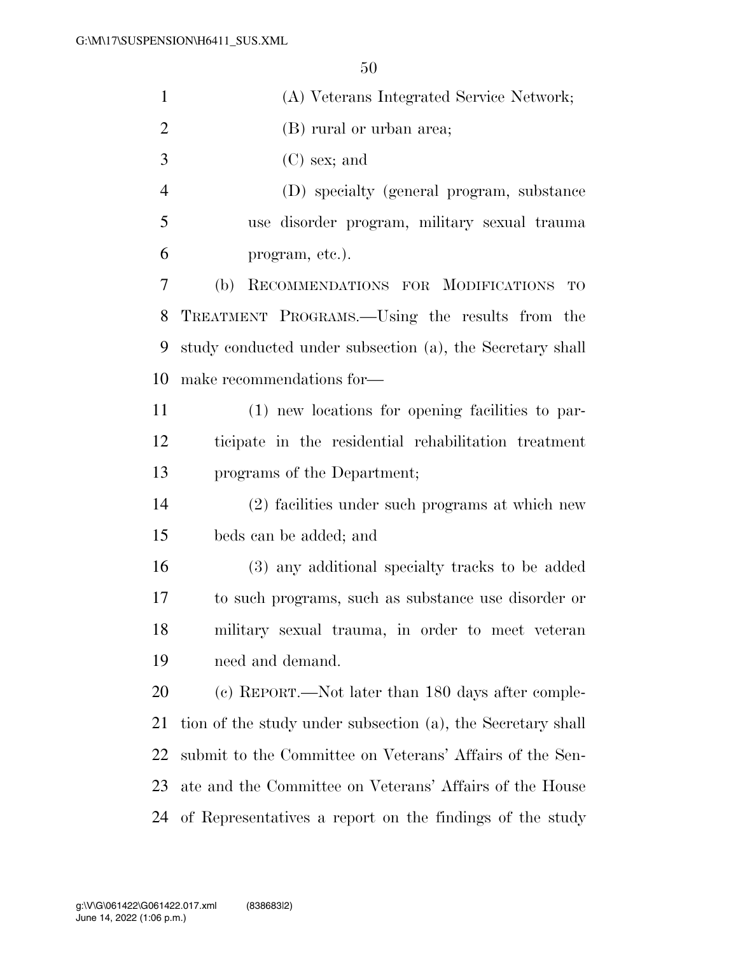| $\mathbf{1}$   | (A) Veterans Integrated Service Network;                    |
|----------------|-------------------------------------------------------------|
| $\overline{2}$ | (B) rural or urban area;                                    |
| 3              | $(C)$ sex; and                                              |
| $\overline{4}$ | (D) specialty (general program, substance                   |
| 5              | use disorder program, military sexual trauma                |
| 6              | program, etc.).                                             |
| 7              | RECOMMENDATIONS FOR MODIFICATIONS<br>(b)<br><b>TO</b>       |
| 8              | TREATMENT PROGRAMS.—Using the results from the              |
| 9              | study conducted under subsection (a), the Secretary shall   |
| 10             | make recommendations for-                                   |
| 11             | (1) new locations for opening facilities to par-            |
| 12             | ticipate in the residential rehabilitation treatment        |
| 13             | programs of the Department;                                 |
| 14             | (2) facilities under such programs at which new             |
| 15             | beds can be added; and                                      |
| 16             | (3) any additional specialty tracks to be added             |
| 17             | to such programs, such as substance use disorder or         |
| 18             | military sexual trauma, in order to meet veteran            |
| 19             | need and demand.                                            |
| 20             | (c) REPORT.—Not later than 180 days after comple-           |
| 21             | tion of the study under subsection (a), the Secretary shall |
| 22             | submit to the Committee on Veterans' Affairs of the Sen-    |
| 23             | ate and the Committee on Veterans' Affairs of the House     |
| 24             | of Representatives a report on the findings of the study    |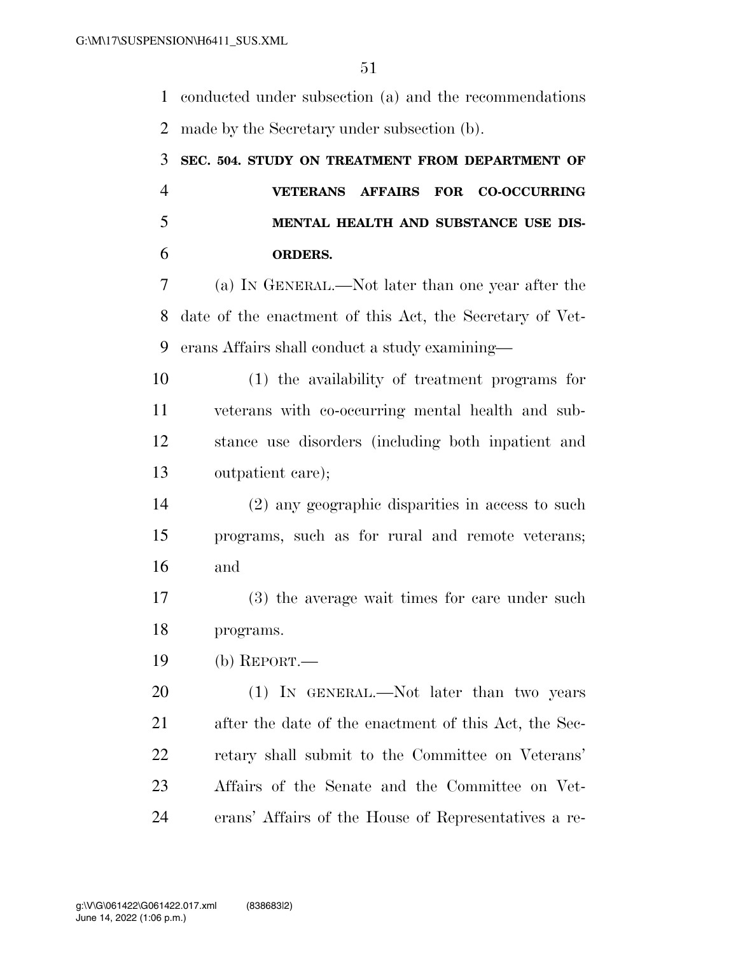conducted under subsection (a) and the recommendations made by the Secretary under subsection (b).

# **SEC. 504. STUDY ON TREATMENT FROM DEPARTMENT OF VETERANS AFFAIRS FOR CO-OCCURRING MENTAL HEALTH AND SUBSTANCE USE DIS-ORDERS.**

 (a) IN GENERAL.—Not later than one year after the date of the enactment of this Act, the Secretary of Vet-erans Affairs shall conduct a study examining—

 (1) the availability of treatment programs for veterans with co-occurring mental health and sub- stance use disorders (including both inpatient and outpatient care);

 (2) any geographic disparities in access to such programs, such as for rural and remote veterans; and

 (3) the average wait times for care under such programs.

(b) REPORT.—

20 (1) IN GENERAL.—Not later than two years after the date of the enactment of this Act, the Sec- retary shall submit to the Committee on Veterans' Affairs of the Senate and the Committee on Vet-erans' Affairs of the House of Representatives a re-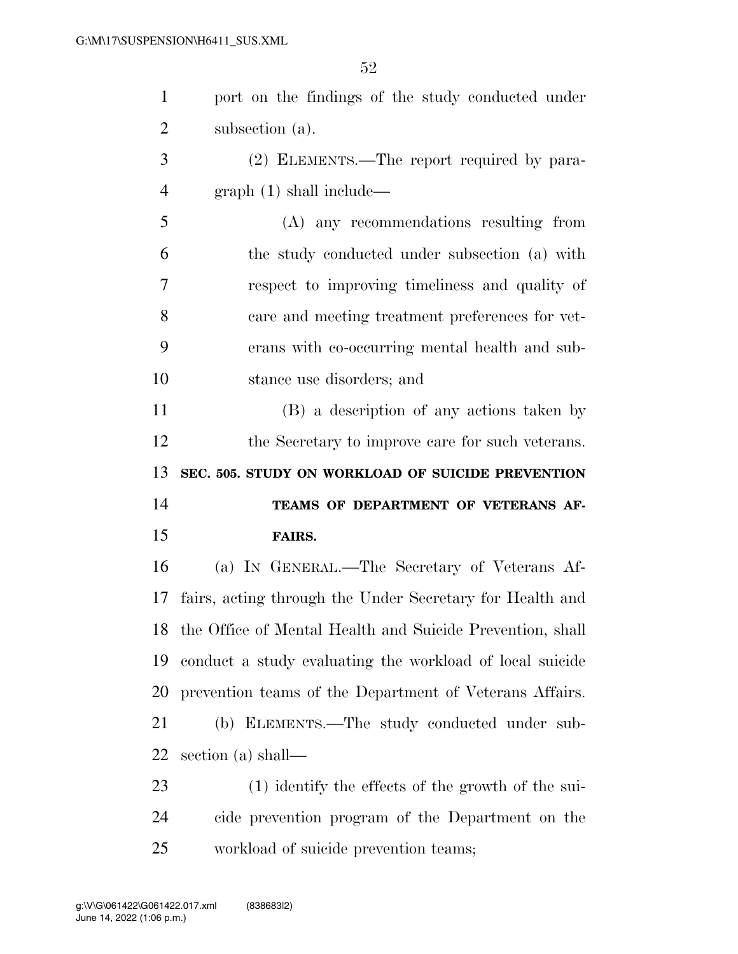port on the findings of the study conducted under subsection (a). (2) ELEMENTS.—The report required by para- graph (1) shall include— (A) any recommendations resulting from the study conducted under subsection (a) with respect to improving timeliness and quality of care and meeting treatment preferences for vet- erans with co-occurring mental health and sub- stance use disorders; and (B) a description of any actions taken by the Secretary to improve care for such veterans. **SEC. 505. STUDY ON WORKLOAD OF SUICIDE PREVENTION TEAMS OF DEPARTMENT OF VETERANS AF- FAIRS.**  (a) IN GENERAL.—The Secretary of Veterans Af- fairs, acting through the Under Secretary for Health and the Office of Mental Health and Suicide Prevention, shall conduct a study evaluating the workload of local suicide prevention teams of the Department of Veterans Affairs. (b) ELEMENTS.—The study conducted under sub- section (a) shall— (1) identify the effects of the growth of the sui- cide prevention program of the Department on the workload of suicide prevention teams;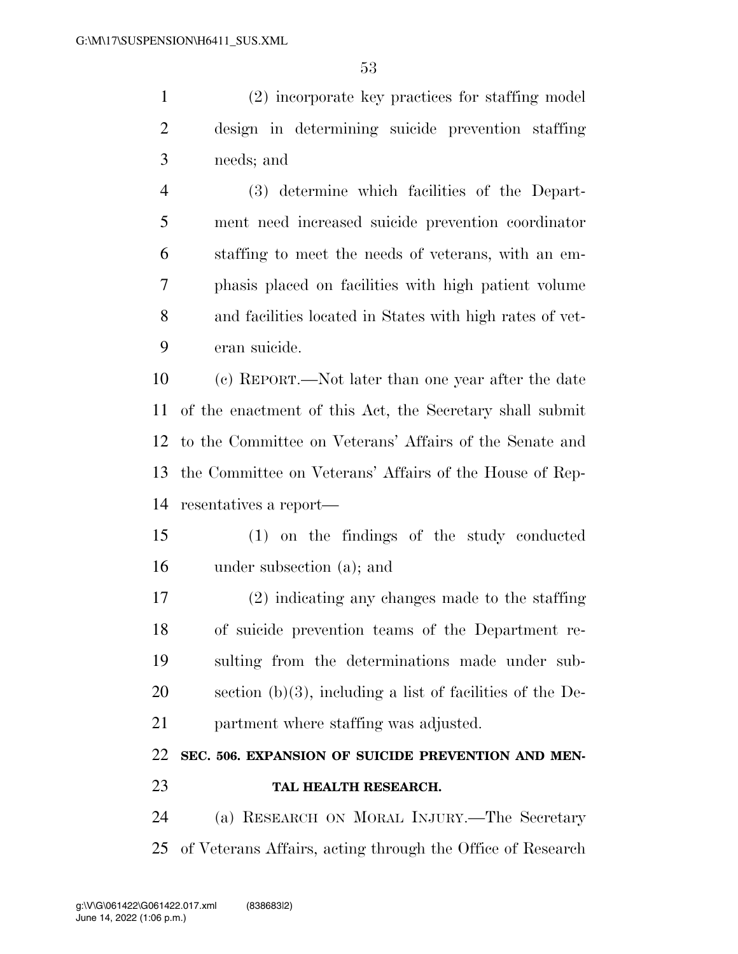(2) incorporate key practices for staffing model design in determining suicide prevention staffing needs; and

 (3) determine which facilities of the Depart- ment need increased suicide prevention coordinator staffing to meet the needs of veterans, with an em- phasis placed on facilities with high patient volume and facilities located in States with high rates of vet-eran suicide.

 (c) REPORT.—Not later than one year after the date of the enactment of this Act, the Secretary shall submit to the Committee on Veterans' Affairs of the Senate and the Committee on Veterans' Affairs of the House of Rep-resentatives a report—

 (1) on the findings of the study conducted under subsection (a); and

 (2) indicating any changes made to the staffing of suicide prevention teams of the Department re- sulting from the determinations made under sub- section (b)(3), including a list of facilities of the De-partment where staffing was adjusted.

# **SEC. 506. EXPANSION OF SUICIDE PREVENTION AND MEN-TAL HEALTH RESEARCH.**

 (a) RESEARCH ON MORAL INJURY.—The Secretary of Veterans Affairs, acting through the Office of Research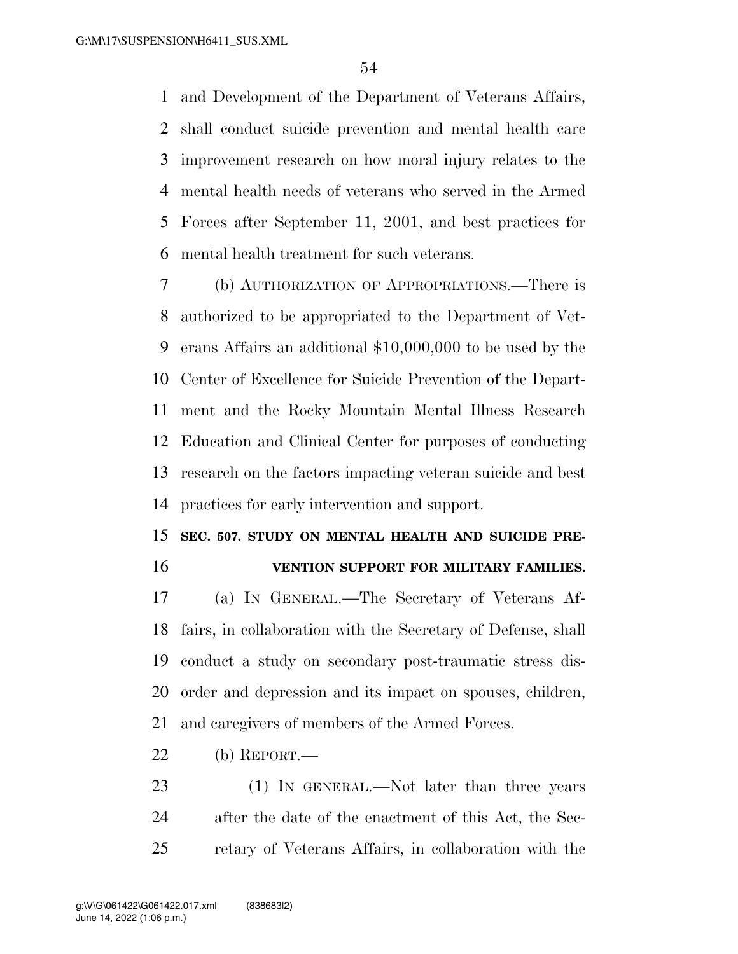and Development of the Department of Veterans Affairs, shall conduct suicide prevention and mental health care improvement research on how moral injury relates to the mental health needs of veterans who served in the Armed Forces after September 11, 2001, and best practices for mental health treatment for such veterans.

 (b) AUTHORIZATION OF APPROPRIATIONS.—There is authorized to be appropriated to the Department of Vet- erans Affairs an additional \$10,000,000 to be used by the Center of Excellence for Suicide Prevention of the Depart- ment and the Rocky Mountain Mental Illness Research Education and Clinical Center for purposes of conducting research on the factors impacting veteran suicide and best practices for early intervention and support.

# **SEC. 507. STUDY ON MENTAL HEALTH AND SUICIDE PRE-VENTION SUPPORT FOR MILITARY FAMILIES.**

 (a) IN GENERAL.—The Secretary of Veterans Af- fairs, in collaboration with the Secretary of Defense, shall conduct a study on secondary post-traumatic stress dis- order and depression and its impact on spouses, children, and caregivers of members of the Armed Forces.

(b) REPORT.—

23 (1) IN GENERAL.—Not later than three years after the date of the enactment of this Act, the Sec-retary of Veterans Affairs, in collaboration with the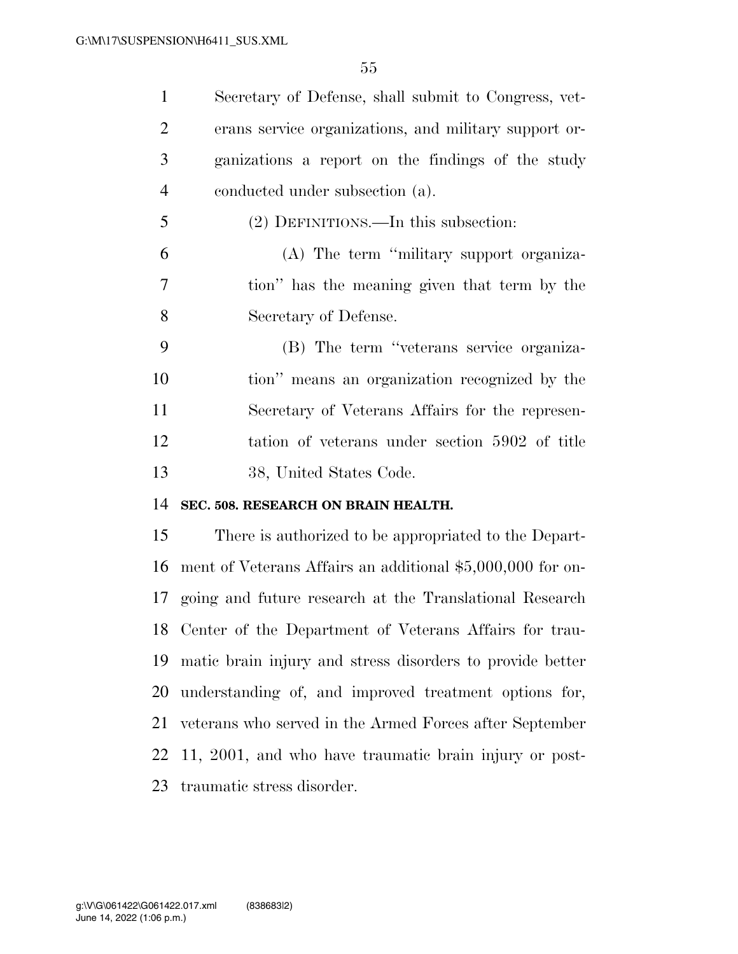Secretary of Defense, shall submit to Congress, vet- erans service organizations, and military support or- ganizations a report on the findings of the study conducted under subsection (a).

(2) DEFINITIONS.—In this subsection:

 (A) The term ''military support organiza- tion'' has the meaning given that term by the Secretary of Defense.

 (B) The term ''veterans service organiza- tion'' means an organization recognized by the Secretary of Veterans Affairs for the represen- tation of veterans under section 5902 of title 38, United States Code.

### **SEC. 508. RESEARCH ON BRAIN HEALTH.**

 There is authorized to be appropriated to the Depart- ment of Veterans Affairs an additional \$5,000,000 for on- going and future research at the Translational Research Center of the Department of Veterans Affairs for trau- matic brain injury and stress disorders to provide better understanding of, and improved treatment options for, veterans who served in the Armed Forces after September 11, 2001, and who have traumatic brain injury or post-traumatic stress disorder.